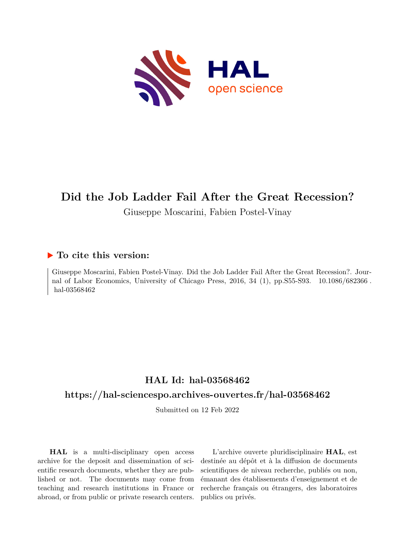

# **Did the Job Ladder Fail After the Great Recession?**

Giuseppe Moscarini, Fabien Postel-Vinay

### **To cite this version:**

Giuseppe Moscarini, Fabien Postel-Vinay. Did the Job Ladder Fail After the Great Recession?. Journal of Labor Economics, University of Chicago Press,  $2016$ ,  $34$  (1), pp.S55-S93.  $10.1086/682366$ . hal-03568462

### **HAL Id: hal-03568462**

### **<https://hal-sciencespo.archives-ouvertes.fr/hal-03568462>**

Submitted on 12 Feb 2022

**HAL** is a multi-disciplinary open access archive for the deposit and dissemination of scientific research documents, whether they are published or not. The documents may come from teaching and research institutions in France or abroad, or from public or private research centers.

L'archive ouverte pluridisciplinaire **HAL**, est destinée au dépôt et à la diffusion de documents scientifiques de niveau recherche, publiés ou non, émanant des établissements d'enseignement et de recherche français ou étrangers, des laboratoires publics ou privés.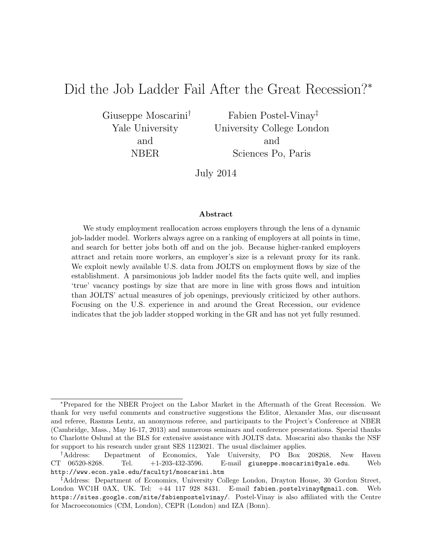## Did the Job Ladder Fail After the Great Recession?<sup>∗</sup>

Giuseppe Moscarini† Yale University and NBER

Fabien Postel-Vinay‡ University College London and Sciences Po, Paris

July 2014

#### Abstract

We study employment reallocation across employers through the lens of a dynamic job-ladder model. Workers always agree on a ranking of employers at all points in time, and search for better jobs both off and on the job. Because higher-ranked employers attract and retain more workers, an employer's size is a relevant proxy for its rank. We exploit newly available U.S. data from JOLTS on employment flows by size of the establishment. A parsimonious job ladder model fits the facts quite well, and implies 'true' vacancy postings by size that are more in line with gross flows and intuition than JOLTS' actual measures of job openings, previously criticized by other authors. Focusing on the U.S. experience in and around the Great Recession, our evidence indicates that the job ladder stopped working in the GR and has not yet fully resumed.

<sup>∗</sup>Prepared for the NBER Project on the Labor Market in the Aftermath of the Great Recession. We thank for very useful comments and constructive suggestions the Editor, Alexander Mas, our discussant and referee, Rasmus Lentz, an anonymous referee, and participants to the Project's Conference at NBER (Cambridge, Mass., May 16-17, 2013) and numerous seminars and conference presentations. Special thanks to Charlotte Oslund at the BLS for extensive assistance with JOLTS data. Moscarini also thanks the NSF for support to his research under grant SES 1123021. The usual disclaimer applies.

<sup>†</sup>Address: Department of Economics, Yale University, PO Box 208268, New Haven CT 06520-8268. Tel. +1-203-432-3596. E-mail giuseppe.moscarini@yale.edu. Web http://www.econ.yale.edu/faculty1/moscarini.htm

<sup>‡</sup>Address: Department of Economics, University College London, Drayton House, 30 Gordon Street, London WC1H 0AX, UK. Tel: +44 117 928 8431. E-mail fabien.postelvinay@gmail.com. Web https://sites.google.com/site/fabienpostelvinay/. Postel-Vinay is also affiliated with the Centre for Macroeconomics (CfM, London), CEPR (London) and IZA (Bonn).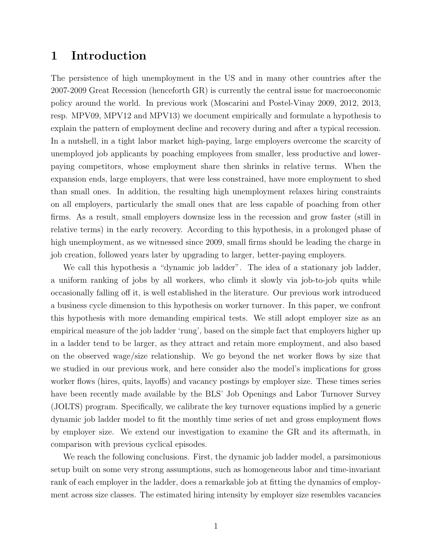### 1 Introduction

The persistence of high unemployment in the US and in many other countries after the 2007-2009 Great Recession (henceforth GR) is currently the central issue for macroeconomic policy around the world. In previous work (Moscarini and Postel-Vinay 2009, 2012, 2013, resp. MPV09, MPV12 and MPV13) we document empirically and formulate a hypothesis to explain the pattern of employment decline and recovery during and after a typical recession. In a nutshell, in a tight labor market high-paying, large employers overcome the scarcity of unemployed job applicants by poaching employees from smaller, less productive and lowerpaying competitors, whose employment share then shrinks in relative terms. When the expansion ends, large employers, that were less constrained, have more employment to shed than small ones. In addition, the resulting high unemployment relaxes hiring constraints on all employers, particularly the small ones that are less capable of poaching from other firms. As a result, small employers downsize less in the recession and grow faster (still in relative terms) in the early recovery. According to this hypothesis, in a prolonged phase of high unemployment, as we witnessed since 2009, small firms should be leading the charge in job creation, followed years later by upgrading to larger, better-paying employers.

We call this hypothesis a "dynamic job ladder". The idea of a stationary job ladder, a uniform ranking of jobs by all workers, who climb it slowly via job-to-job quits while occasionally falling off it, is well established in the literature. Our previous work introduced a business cycle dimension to this hypothesis on worker turnover. In this paper, we confront this hypothesis with more demanding empirical tests. We still adopt employer size as an empirical measure of the job ladder 'rung', based on the simple fact that employers higher up in a ladder tend to be larger, as they attract and retain more employment, and also based on the observed wage/size relationship. We go beyond the net worker flows by size that we studied in our previous work, and here consider also the model's implications for gross worker flows (hires, quits, layoffs) and vacancy postings by employer size. These times series have been recently made available by the BLS' Job Openings and Labor Turnover Survey (JOLTS) program. Specifically, we calibrate the key turnover equations implied by a generic dynamic job ladder model to fit the monthly time series of net and gross employment flows by employer size. We extend our investigation to examine the GR and its aftermath, in comparison with previous cyclical episodes.

We reach the following conclusions. First, the dynamic job ladder model, a parsimonious setup built on some very strong assumptions, such as homogeneous labor and time-invariant rank of each employer in the ladder, does a remarkable job at fitting the dynamics of employment across size classes. The estimated hiring intensity by employer size resembles vacancies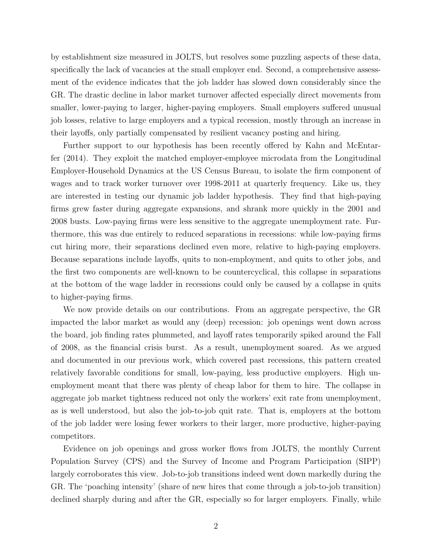by establishment size measured in JOLTS, but resolves some puzzling aspects of these data, specifically the lack of vacancies at the small employer end. Second, a comprehensive assessment of the evidence indicates that the job ladder has slowed down considerably since the GR. The drastic decline in labor market turnover affected especially direct movements from smaller, lower-paying to larger, higher-paying employers. Small employers suffered unusual job losses, relative to large employers and a typical recession, mostly through an increase in their layoffs, only partially compensated by resilient vacancy posting and hiring.

Further support to our hypothesis has been recently offered by Kahn and McEntarfer (2014). They exploit the matched employer-employee microdata from the Longitudinal Employer-Household Dynamics at the US Census Bureau, to isolate the firm component of wages and to track worker turnover over 1998-2011 at quarterly frequency. Like us, they are interested in testing our dynamic job ladder hypothesis. They find that high-paying firms grew faster during aggregate expansions, and shrank more quickly in the 2001 and 2008 busts. Low-paying firms were less sensitive to the aggregate unemployment rate. Furthermore, this was due entirely to reduced separations in recessions: while low-paying firms cut hiring more, their separations declined even more, relative to high-paying employers. Because separations include layoffs, quits to non-employment, and quits to other jobs, and the first two components are well-known to be countercyclical, this collapse in separations at the bottom of the wage ladder in recessions could only be caused by a collapse in quits to higher-paying firms.

We now provide details on our contributions. From an aggregate perspective, the GR impacted the labor market as would any (deep) recession: job openings went down across the board, job finding rates plummeted, and layoff rates temporarily spiked around the Fall of 2008, as the financial crisis burst. As a result, unemployment soared. As we argued and documented in our previous work, which covered past recessions, this pattern created relatively favorable conditions for small, low-paying, less productive employers. High unemployment meant that there was plenty of cheap labor for them to hire. The collapse in aggregate job market tightness reduced not only the workers' exit rate from unemployment, as is well understood, but also the job-to-job quit rate. That is, employers at the bottom of the job ladder were losing fewer workers to their larger, more productive, higher-paying competitors.

Evidence on job openings and gross worker flows from JOLTS, the monthly Current Population Survey (CPS) and the Survey of Income and Program Participation (SIPP) largely corroborates this view. Job-to-job transitions indeed went down markedly during the GR. The 'poaching intensity' (share of new hires that come through a job-to-job transition) declined sharply during and after the GR, especially so for larger employers. Finally, while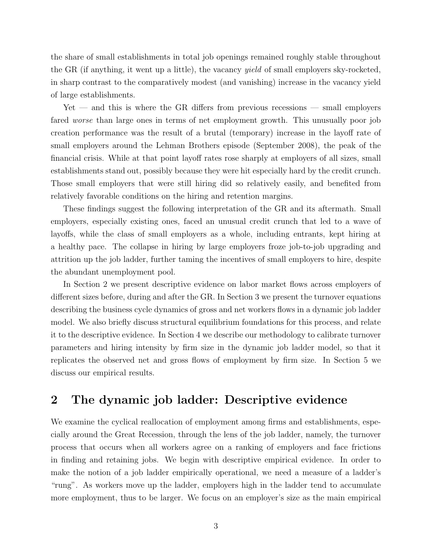the share of small establishments in total job openings remained roughly stable throughout the GR (if anything, it went up a little), the vacancy *yield* of small employers sky-rocketed, in sharp contrast to the comparatively modest (and vanishing) increase in the vacancy yield of large establishments.

Yet — and this is where the GR differs from previous recessions — small employers fared worse than large ones in terms of net employment growth. This unusually poor job creation performance was the result of a brutal (temporary) increase in the layoff rate of small employers around the Lehman Brothers episode (September 2008), the peak of the financial crisis. While at that point layoff rates rose sharply at employers of all sizes, small establishments stand out, possibly because they were hit especially hard by the credit crunch. Those small employers that were still hiring did so relatively easily, and benefited from relatively favorable conditions on the hiring and retention margins.

These findings suggest the following interpretation of the GR and its aftermath. Small employers, especially existing ones, faced an unusual credit crunch that led to a wave of layoffs, while the class of small employers as a whole, including entrants, kept hiring at a healthy pace. The collapse in hiring by large employers froze job-to-job upgrading and attrition up the job ladder, further taming the incentives of small employers to hire, despite the abundant unemployment pool.

In Section 2 we present descriptive evidence on labor market flows across employers of different sizes before, during and after the GR. In Section 3 we present the turnover equations describing the business cycle dynamics of gross and net workers flows in a dynamic job ladder model. We also briefly discuss structural equilibrium foundations for this process, and relate it to the descriptive evidence. In Section 4 we describe our methodology to calibrate turnover parameters and hiring intensity by firm size in the dynamic job ladder model, so that it replicates the observed net and gross flows of employment by firm size. In Section 5 we discuss our empirical results.

### 2 The dynamic job ladder: Descriptive evidence

We examine the cyclical reallocation of employment among firms and establishments, especially around the Great Recession, through the lens of the job ladder, namely, the turnover process that occurs when all workers agree on a ranking of employers and face frictions in finding and retaining jobs. We begin with descriptive empirical evidence. In order to make the notion of a job ladder empirically operational, we need a measure of a ladder's "rung". As workers move up the ladder, employers high in the ladder tend to accumulate more employment, thus to be larger. We focus on an employer's size as the main empirical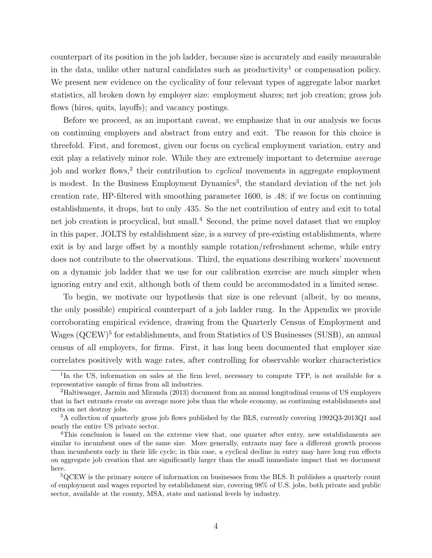counterpart of its position in the job ladder, because size is accurately and easily measurable in the data, unlike other natural candidates such as productivity<sup>1</sup> or compensation policy. We present new evidence on the cyclicality of four relevant types of aggregate labor market statistics, all broken down by employer size: employment shares; net job creation; gross job flows (hires, quits, layoffs); and vacancy postings.

Before we proceed, as an important caveat, we emphasize that in our analysis we focus on continuing employers and abstract from entry and exit. The reason for this choice is threefold. First, and foremost, given our focus on cyclical employment variation, entry and exit play a relatively minor role. While they are extremely important to determine *average* job and worker flows,<sup>2</sup> their contribution to *cyclical* movements in aggregate employment is modest. In the Business Employment Dynamics<sup>3</sup>, the standard deviation of the net job creation rate, HP-filtered with smoothing parameter 1600, is .48; if we focus on continuing establishments, it drops, but to only .435. So the net contribution of entry and exit to total net job creation is procyclical, but small.<sup>4</sup> Second, the prime novel dataset that we employ in this paper, JOLTS by establishment size, is a survey of pre-existing establishments, where exit is by and large offset by a monthly sample rotation/refreshment scheme, while entry does not contribute to the observations. Third, the equations describing workers' movement on a dynamic job ladder that we use for our calibration exercise are much simpler when ignoring entry and exit, although both of them could be accommodated in a limited sense.

To begin, we motivate our hypothesis that size is one relevant (albeit, by no means, the only possible) empirical counterpart of a job ladder rung. In the Appendix we provide corroborating empirical evidence, drawing from the Quarterly Census of Employment and Wages (QCEW)<sup>5</sup> for establishments, and from Statistics of US Businesses (SUSB), an annual census of all employers, for firms. First, it has long been documented that employer size correlates positively with wage rates, after controlling for observable worker characteristics

<sup>&</sup>lt;sup>1</sup>In the US, information on sales at the firm level, necessary to compute TFP, is not available for a representative sample of firms from all industries.

<sup>2</sup>Haltiwanger, Jarmin and Miranda (2013) document from an annual longitudinal census of US employers that in fact entrants create on average more jobs than the whole economy, as continuing establishments and exits on net destroy jobs.

<sup>3</sup>A collection of quarterly gross job flows published by the BLS, currently covering 1992Q3-2013Q1 and nearly the entire US private sector.

<sup>4</sup>This conclusion is based on the extreme view that, one quarter after entry, new establishments are similar to incumbent ones of the same size. More generally, entrants may face a different growth process than incumbents early in their life cycle; in this case, a cyclical decline in entry may have long run effects on aggregate job creation that are significantly larger than the small immediate impact that we document here.

<sup>5</sup>QCEW is the primary source of information on businesses from the BLS. It publishes a quarterly count of employment and wages reported by establishment size, covering 98% of U.S. jobs, both private and public sector, available at the county, MSA, state and national levels by industry.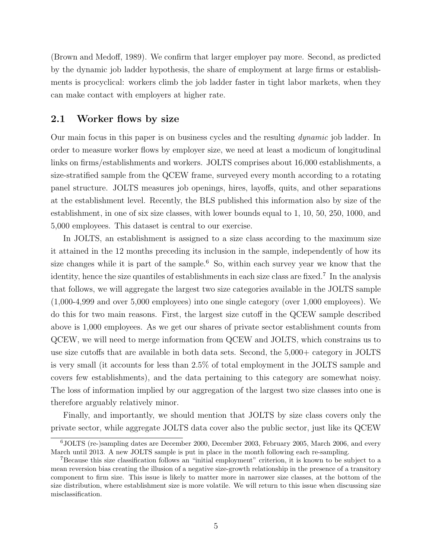(Brown and Medoff, 1989). We confirm that larger employer pay more. Second, as predicted by the dynamic job ladder hypothesis, the share of employment at large firms or establishments is procyclical: workers climb the job ladder faster in tight labor markets, when they can make contact with employers at higher rate.

#### 2.1 Worker flows by size

Our main focus in this paper is on business cycles and the resulting dynamic job ladder. In order to measure worker flows by employer size, we need at least a modicum of longitudinal links on firms/establishments and workers. JOLTS comprises about 16,000 establishments, a size-stratified sample from the QCEW frame, surveyed every month according to a rotating panel structure. JOLTS measures job openings, hires, layoffs, quits, and other separations at the establishment level. Recently, the BLS published this information also by size of the establishment, in one of six size classes, with lower bounds equal to 1, 10, 50, 250, 1000, and 5,000 employees. This dataset is central to our exercise.

In JOLTS, an establishment is assigned to a size class according to the maximum size it attained in the 12 months preceding its inclusion in the sample, independently of how its size changes while it is part of the sample.<sup>6</sup> So, within each survey year we know that the identity, hence the size quantiles of establishments in each size class are fixed.<sup>7</sup> In the analysis that follows, we will aggregate the largest two size categories available in the JOLTS sample (1,000-4,999 and over 5,000 employees) into one single category (over 1,000 employees). We do this for two main reasons. First, the largest size cutoff in the QCEW sample described above is 1,000 employees. As we get our shares of private sector establishment counts from QCEW, we will need to merge information from QCEW and JOLTS, which constrains us to use size cutoffs that are available in both data sets. Second, the 5,000+ category in JOLTS is very small (it accounts for less than 2.5% of total employment in the JOLTS sample and covers few establishments), and the data pertaining to this category are somewhat noisy. The loss of information implied by our aggregation of the largest two size classes into one is therefore arguably relatively minor.

Finally, and importantly, we should mention that JOLTS by size class covers only the private sector, while aggregate JOLTS data cover also the public sector, just like its QCEW

<sup>6</sup>JOLTS (re-)sampling dates are December 2000, December 2003, February 2005, March 2006, and every March until 2013. A new JOLTS sample is put in place in the month following each re-sampling.

<sup>7</sup>Because this size classification follows an "initial employment" criterion, it is known to be subject to a mean reversion bias creating the illusion of a negative size-growth relationship in the presence of a transitory component to firm size. This issue is likely to matter more in narrower size classes, at the bottom of the size distribution, where establishment size is more volatile. We will return to this issue when discussing size misclassification.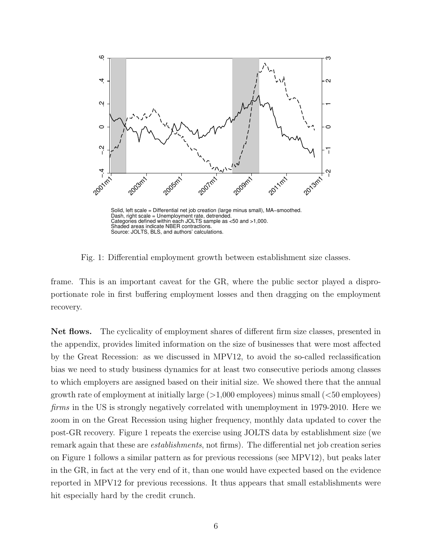

Fig. 1: Differential employment growth between establishment size classes.

frame. This is an important caveat for the GR, where the public sector played a disproportionate role in first buffering employment losses and then dragging on the employment recovery.

Net flows. The cyclicality of employment shares of different firm size classes, presented in the appendix, provides limited information on the size of businesses that were most affected by the Great Recession: as we discussed in MPV12, to avoid the so-called reclassification bias we need to study business dynamics for at least two consecutive periods among classes to which employers are assigned based on their initial size. We showed there that the annual growth rate of employment at initially large  $(>1,000$  employees) minus small  $( $50$  employees)$ firms in the US is strongly negatively correlated with unemployment in 1979-2010. Here we zoom in on the Great Recession using higher frequency, monthly data updated to cover the post-GR recovery. Figure 1 repeats the exercise using JOLTS data by establishment size (we remark again that these are establishments, not firms). The differential net job creation series on Figure 1 follows a similar pattern as for previous recessions (see MPV12), but peaks later in the GR, in fact at the very end of it, than one would have expected based on the evidence reported in MPV12 for previous recessions. It thus appears that small establishments were hit especially hard by the credit crunch.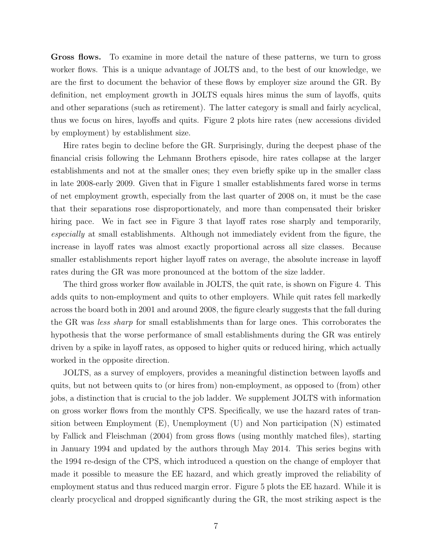Gross flows. To examine in more detail the nature of these patterns, we turn to gross worker flows. This is a unique advantage of JOLTS and, to the best of our knowledge, we are the first to document the behavior of these flows by employer size around the GR. By definition, net employment growth in JOLTS equals hires minus the sum of layoffs, quits and other separations (such as retirement). The latter category is small and fairly acyclical, thus we focus on hires, layoffs and quits. Figure 2 plots hire rates (new accessions divided by employment) by establishment size.

Hire rates begin to decline before the GR. Surprisingly, during the deepest phase of the financial crisis following the Lehmann Brothers episode, hire rates collapse at the larger establishments and not at the smaller ones; they even briefly spike up in the smaller class in late 2008-early 2009. Given that in Figure 1 smaller establishments fared worse in terms of net employment growth, especially from the last quarter of 2008 on, it must be the case that their separations rose disproportionately, and more than compensated their brisker hiring pace. We in fact see in Figure 3 that layoff rates rose sharply and temporarily, especially at small establishments. Although not immediately evident from the figure, the increase in layoff rates was almost exactly proportional across all size classes. Because smaller establishments report higher layoff rates on average, the absolute increase in layoff rates during the GR was more pronounced at the bottom of the size ladder.

The third gross worker flow available in JOLTS, the quit rate, is shown on Figure 4. This adds quits to non-employment and quits to other employers. While quit rates fell markedly across the board both in 2001 and around 2008, the figure clearly suggests that the fall during the GR was less sharp for small establishments than for large ones. This corroborates the hypothesis that the worse performance of small establishments during the GR was entirely driven by a spike in layoff rates, as opposed to higher quits or reduced hiring, which actually worked in the opposite direction.

JOLTS, as a survey of employers, provides a meaningful distinction between layoffs and quits, but not between quits to (or hires from) non-employment, as opposed to (from) other jobs, a distinction that is crucial to the job ladder. We supplement JOLTS with information on gross worker flows from the monthly CPS. Specifically, we use the hazard rates of transition between Employment (E), Unemployment (U) and Non participation (N) estimated by Fallick and Fleischman (2004) from gross flows (using monthly matched files), starting in January 1994 and updated by the authors through May 2014. This series begins with the 1994 re-design of the CPS, which introduced a question on the change of employer that made it possible to measure the EE hazard, and which greatly improved the reliability of employment status and thus reduced margin error. Figure 5 plots the EE hazard. While it is clearly procyclical and dropped significantly during the GR, the most striking aspect is the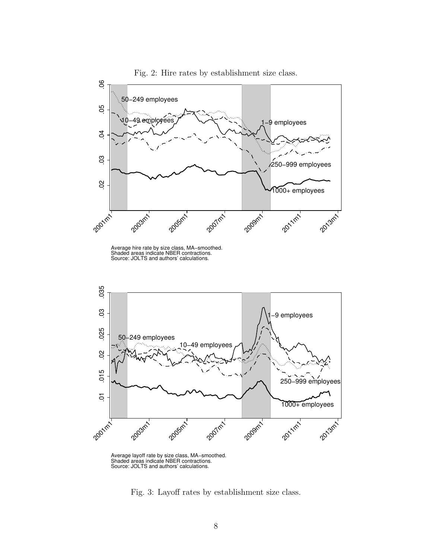

Fig. 2: Hire rates by establishment size class.

Average layoff rate by size class, MA−smoothed. Shaded areas indicate NBER contractions. Source: JOLTS and authors' calculations.

Fig. 3: Layoff rates by establishment size class.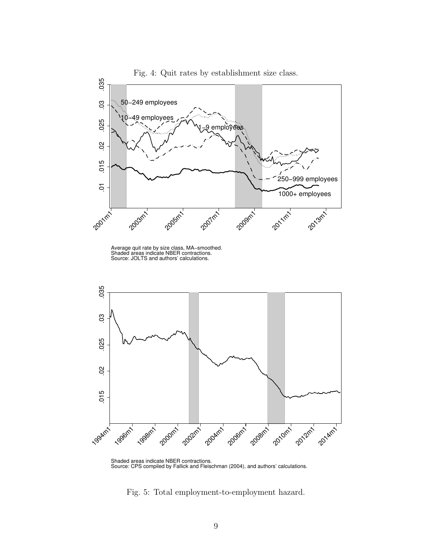





Fig. 5: Total employment-to-employment hazard.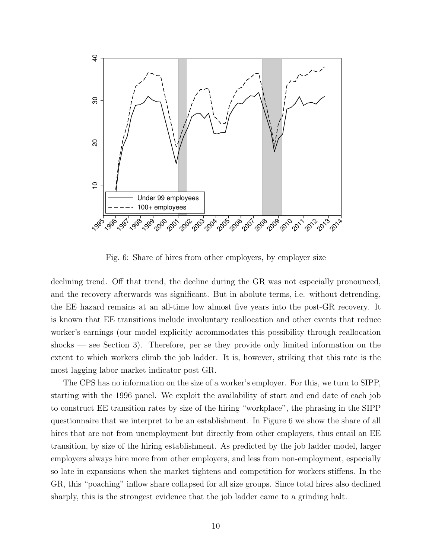

Fig. 6: Share of hires from other employers, by employer size

declining trend. Off that trend, the decline during the GR was not especially pronounced, and the recovery afterwards was significant. But in abolute terms, i.e. without detrending, the EE hazard remains at an all-time low almost five years into the post-GR recovery. It is known that EE transitions include involuntary reallocation and other events that reduce worker's earnings (our model explicitly accommodates this possibility through reallocation shocks — see Section 3). Therefore, per se they provide only limited information on the extent to which workers climb the job ladder. It is, however, striking that this rate is the most lagging labor market indicator post GR.

The CPS has no information on the size of a worker's employer. For this, we turn to SIPP, starting with the 1996 panel. We exploit the availability of start and end date of each job to construct EE transition rates by size of the hiring "workplace", the phrasing in the SIPP questionnaire that we interpret to be an establishment. In Figure 6 we show the share of all hires that are not from unemployment but directly from other employers, thus entail an EE transition, by size of the hiring establishment. As predicted by the job ladder model, larger employers always hire more from other employers, and less from non-employment, especially so late in expansions when the market tightens and competition for workers stiffens. In the GR, this "poaching" inflow share collapsed for all size groups. Since total hires also declined sharply, this is the strongest evidence that the job ladder came to a grinding halt.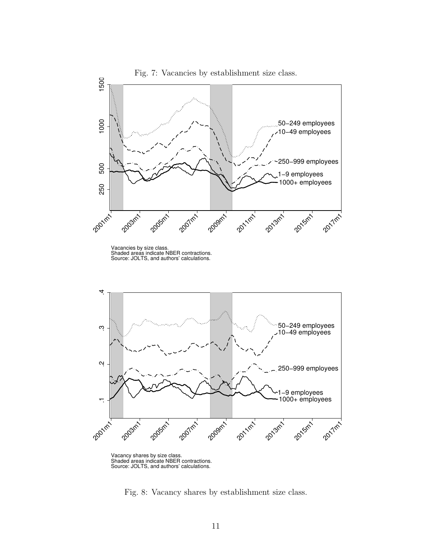

Vacancy shares by size class. Shaded areas indicate NBER contractions. Source: JOLTS, and authors' calculations.

Fig. 8: Vacancy shares by establishment size class.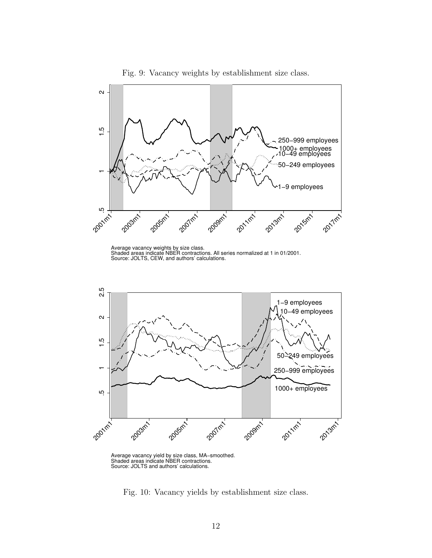

Fig. 9: Vacancy weights by establishment size class.

Average vacancy weights by size class. Shaded areas indicate NBER contractions. All series normalized at 1 in 01/2001. Source: JOLTS, CEW, and authors' calculations.



Average vacancy yield by size class, MA−smoothed. Shaded areas indicate NBER contractions. Source: JOLTS and authors' calculations.

Fig. 10: Vacancy yields by establishment size class.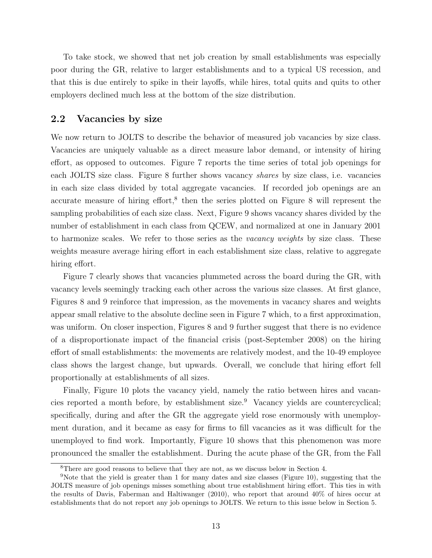To take stock, we showed that net job creation by small establishments was especially poor during the GR, relative to larger establishments and to a typical US recession, and that this is due entirely to spike in their layoffs, while hires, total quits and quits to other employers declined much less at the bottom of the size distribution.

#### 2.2 Vacancies by size

We now return to JOLTS to describe the behavior of measured job vacancies by size class. Vacancies are uniquely valuable as a direct measure labor demand, or intensity of hiring effort, as opposed to outcomes. Figure 7 reports the time series of total job openings for each JOLTS size class. Figure 8 further shows vacancy shares by size class, i.e. vacancies in each size class divided by total aggregate vacancies. If recorded job openings are an accurate measure of hiring effort,<sup>8</sup> then the series plotted on Figure 8 will represent the sampling probabilities of each size class. Next, Figure 9 shows vacancy shares divided by the number of establishment in each class from QCEW, and normalized at one in January 2001 to harmonize scales. We refer to those series as the *vacancy weights* by size class. These weights measure average hiring effort in each establishment size class, relative to aggregate hiring effort.

Figure 7 clearly shows that vacancies plummeted across the board during the GR, with vacancy levels seemingly tracking each other across the various size classes. At first glance, Figures 8 and 9 reinforce that impression, as the movements in vacancy shares and weights appear small relative to the absolute decline seen in Figure 7 which, to a first approximation, was uniform. On closer inspection, Figures 8 and 9 further suggest that there is no evidence of a disproportionate impact of the financial crisis (post-September 2008) on the hiring effort of small establishments: the movements are relatively modest, and the 10-49 employee class shows the largest change, but upwards. Overall, we conclude that hiring effort fell proportionally at establishments of all sizes.

Finally, Figure 10 plots the vacancy yield, namely the ratio between hires and vacancies reported a month before, by establishment size.<sup>9</sup> Vacancy yields are countercyclical; specifically, during and after the GR the aggregate yield rose enormously with unemployment duration, and it became as easy for firms to fill vacancies as it was difficult for the unemployed to find work. Importantly, Figure 10 shows that this phenomenon was more pronounced the smaller the establishment. During the acute phase of the GR, from the Fall

<sup>8</sup>There are good reasons to believe that they are not, as we discuss below in Section 4.

<sup>9</sup>Note that the yield is greater than 1 for many dates and size classes (Figure 10), suggesting that the JOLTS measure of job openings misses something about true establishment hiring effort. This ties in with the results of Davis, Faberman and Haltiwanger (2010), who report that around 40% of hires occur at establishments that do not report any job openings to JOLTS. We return to this issue below in Section 5.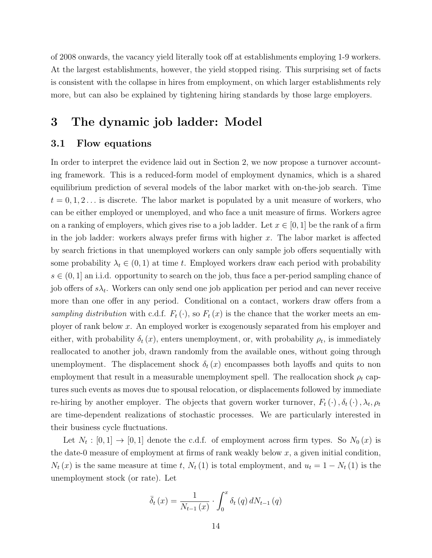of 2008 onwards, the vacancy yield literally took off at establishments employing 1-9 workers. At the largest establishments, however, the yield stopped rising. This surprising set of facts is consistent with the collapse in hires from employment, on which larger establishments rely more, but can also be explained by tightening hiring standards by those large employers.

### 3 The dynamic job ladder: Model

#### 3.1 Flow equations

In order to interpret the evidence laid out in Section 2, we now propose a turnover accounting framework. This is a reduced-form model of employment dynamics, which is a shared equilibrium prediction of several models of the labor market with on-the-job search. Time  $t = 0, 1, 2, \ldots$  is discrete. The labor market is populated by a unit measure of workers, who can be either employed or unemployed, and who face a unit measure of firms. Workers agree on a ranking of employers, which gives rise to a job ladder. Let  $x \in [0,1]$  be the rank of a firm in the job ladder: workers always prefer firms with higher  $x$ . The labor market is affected by search frictions in that unemployed workers can only sample job offers sequentially with some probability  $\lambda_t \in (0,1)$  at time t. Employed workers draw each period with probability  $s \in (0, 1]$  an i.i.d. opportunity to search on the job, thus face a per-period sampling chance of job offers of  $s\lambda_t$ . Workers can only send one job application per period and can never receive more than one offer in any period. Conditional on a contact, workers draw offers from a sampling distribution with c.d.f.  $F_t(\cdot)$ , so  $F_t(x)$  is the chance that the worker meets an employer of rank below x. An employed worker is exogenously separated from his employer and either, with probability  $\delta_t(x)$ , enters unemployment, or, with probability  $\rho_t$ , is immediately reallocated to another job, drawn randomly from the available ones, without going through unemployment. The displacement shock  $\delta_t(x)$  encompasses both layoffs and quits to non employment that result in a measurable unemployment spell. The reallocation shock  $\rho_t$  captures such events as moves due to spousal relocation, or displacements followed by immediate re-hiring by another employer. The objects that govern worker turnover,  $F_t(\cdot)$ ,  $\delta_t(\cdot)$ ,  $\lambda_t$ ,  $\rho_t$ are time-dependent realizations of stochastic processes. We are particularly interested in their business cycle fluctuations.

Let  $N_t : [0,1] \to [0,1]$  denote the c.d.f. of employment across firm types. So  $N_0(x)$  is the date-0 measure of employment at firms of rank weakly below  $x$ , a given initial condition,  $N_t(x)$  is the same measure at time t,  $N_t(1)$  is total employment, and  $u_t = 1 - N_t(1)$  is the unemployment stock (or rate). Let

$$
\bar{\delta}_{t}(x) = \frac{1}{N_{t-1}(x)} \cdot \int_{0}^{x} \delta_{t}(q) dN_{t-1}(q)
$$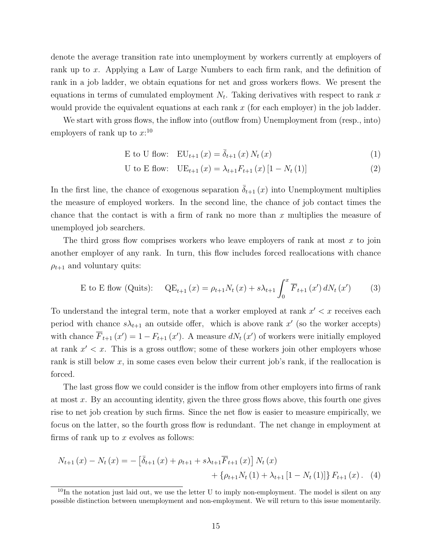denote the average transition rate into unemployment by workers currently at employers of rank up to x. Applying a Law of Large Numbers to each firm rank, and the definition of rank in a job ladder, we obtain equations for net and gross workers flows. We present the equations in terms of cumulated employment  $N_t$ . Taking derivatives with respect to rank x would provide the equivalent equations at each rank  $x$  (for each employer) in the job ladder.

We start with gross flows, the inflow into (outflow from) Unemployment from (resp., into) employers of rank up to  $x:^{10}$ 

$$
E \text{ to } U \text{ flow:} \quad EU_{t+1}(x) = \overline{\delta}_{t+1}(x) N_t(x) \tag{1}
$$

$$
U \text{ to } E \text{ flow:} \quad UE_{t+1}(x) = \lambda_{t+1} F_{t+1}(x) [1 - N_t(1)] \tag{2}
$$

In the first line, the chance of exogenous separation  $\overline{\delta}_{t+1}(x)$  into Unemployment multiplies the measure of employed workers. In the second line, the chance of job contact times the chance that the contact is with a firm of rank no more than  $x$  multiplies the measure of unemployed job searchers.

The third gross flow comprises workers who leave employers of rank at most  $x$  to join another employer of any rank. In turn, this flow includes forced reallocations with chance  $\rho_{t+1}$  and voluntary quits:

E to E flow (Quits): 
$$
QE_{t+1}(x) = \rho_{t+1} N_t(x) + s\lambda_{t+1} \int_0^x \overline{F}_{t+1}(x') dN_t(x')
$$
 (3)

To understand the integral term, note that a worker employed at rank  $x' < x$  receives each period with chance  $s\lambda_{t+1}$  an outside offer, which is above rank x' (so the worker accepts) with chance  $\overline{F}_{t+1}(x') = 1 - F_{t+1}(x')$ . A measure  $dN_t(x')$  of workers were initially employed at rank  $x' < x$ . This is a gross outflow; some of these workers join other employers whose rank is still below  $x$ , in some cases even below their current job's rank, if the reallocation is forced.

The last gross flow we could consider is the inflow from other employers into firms of rank at most  $x$ . By an accounting identity, given the three gross flows above, this fourth one gives rise to net job creation by such firms. Since the net flow is easier to measure empirically, we focus on the latter, so the fourth gross flow is redundant. The net change in employment at firms of rank up to  $x$  evolves as follows:

$$
N_{t+1}(x) - N_t(x) = -\left[\bar{\delta}_{t+1}(x) + \rho_{t+1} + s\lambda_{t+1}\overline{F}_{t+1}(x)\right]N_t(x) + \left\{\rho_{t+1}N_t(1) + \lambda_{t+1}\left[1 - N_t(1)\right]\right\}F_{t+1}(x). \tag{4}
$$

 $10$ In the notation just laid out, we use the letter U to imply non-employment. The model is silent on any possible distinction between unemployment and non-employment. We will return to this issue momentarily.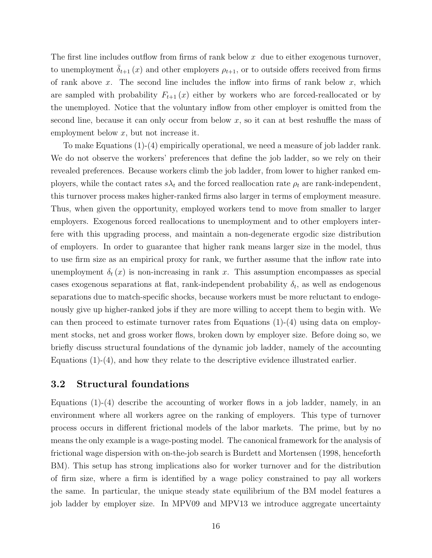The first line includes outflow from firms of rank below  $x$  due to either exogenous turnover, to unemployment  $\delta_{t+1}(x)$  and other employers  $\rho_{t+1}$ , or to outside offers received from firms of rank above x. The second line includes the inflow into firms of rank below  $x$ , which are sampled with probability  $F_{t+1}(x)$  either by workers who are forced-reallocated or by the unemployed. Notice that the voluntary inflow from other employer is omitted from the second line, because it can only occur from below  $x$ , so it can at best reshuffle the mass of employment below x, but not increase it.

To make Equations (1)-(4) empirically operational, we need a measure of job ladder rank. We do not observe the workers' preferences that define the job ladder, so we rely on their revealed preferences. Because workers climb the job ladder, from lower to higher ranked employers, while the contact rates  $s\lambda_t$  and the forced reallocation rate  $\rho_t$  are rank-independent, this turnover process makes higher-ranked firms also larger in terms of employment measure. Thus, when given the opportunity, employed workers tend to move from smaller to larger employers. Exogenous forced reallocations to unemployment and to other employers interfere with this upgrading process, and maintain a non-degenerate ergodic size distribution of employers. In order to guarantee that higher rank means larger size in the model, thus to use firm size as an empirical proxy for rank, we further assume that the inflow rate into unemployment  $\delta_t(x)$  is non-increasing in rank x. This assumption encompasses as special cases exogenous separations at flat, rank-independent probability  $\delta_t$ , as well as endogenous separations due to match-specific shocks, because workers must be more reluctant to endogenously give up higher-ranked jobs if they are more willing to accept them to begin with. We can then proceed to estimate turnover rates from Equations  $(1)-(4)$  using data on employment stocks, net and gross worker flows, broken down by employer size. Before doing so, we briefly discuss structural foundations of the dynamic job ladder, namely of the accounting Equations  $(1)-(4)$ , and how they relate to the descriptive evidence illustrated earlier.

#### 3.2 Structural foundations

Equations  $(1)-(4)$  describe the accounting of worker flows in a job ladder, namely, in an environment where all workers agree on the ranking of employers. This type of turnover process occurs in different frictional models of the labor markets. The prime, but by no means the only example is a wage-posting model. The canonical framework for the analysis of frictional wage dispersion with on-the-job search is Burdett and Mortensen (1998, henceforth BM). This setup has strong implications also for worker turnover and for the distribution of firm size, where a firm is identified by a wage policy constrained to pay all workers the same. In particular, the unique steady state equilibrium of the BM model features a job ladder by employer size. In MPV09 and MPV13 we introduce aggregate uncertainty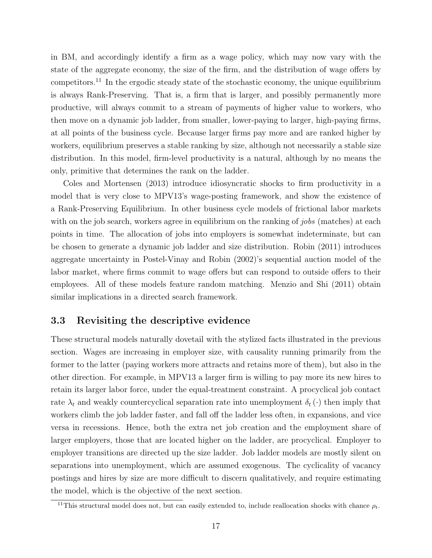in BM, and accordingly identify a firm as a wage policy, which may now vary with the state of the aggregate economy, the size of the firm, and the distribution of wage offers by competitors.<sup>11</sup> In the ergodic steady state of the stochastic economy, the unique equilibrium is always Rank-Preserving. That is, a firm that is larger, and possibly permanently more productive, will always commit to a stream of payments of higher value to workers, who then move on a dynamic job ladder, from smaller, lower-paying to larger, high-paying firms, at all points of the business cycle. Because larger firms pay more and are ranked higher by workers, equilibrium preserves a stable ranking by size, although not necessarily a stable size distribution. In this model, firm-level productivity is a natural, although by no means the only, primitive that determines the rank on the ladder.

Coles and Mortensen (2013) introduce idiosyncratic shocks to firm productivity in a model that is very close to MPV13's wage-posting framework, and show the existence of a Rank-Preserving Equilibrium. In other business cycle models of frictional labor markets with on the job search, workers agree in equilibrium on the ranking of *jobs* (matches) at each points in time. The allocation of jobs into employers is somewhat indeterminate, but can be chosen to generate a dynamic job ladder and size distribution. Robin (2011) introduces aggregate uncertainty in Postel-Vinay and Robin (2002)'s sequential auction model of the labor market, where firms commit to wage offers but can respond to outside offers to their employees. All of these models feature random matching. Menzio and Shi (2011) obtain similar implications in a directed search framework.

### 3.3 Revisiting the descriptive evidence

These structural models naturally dovetail with the stylized facts illustrated in the previous section. Wages are increasing in employer size, with causality running primarily from the former to the latter (paying workers more attracts and retains more of them), but also in the other direction. For example, in MPV13 a larger firm is willing to pay more its new hires to retain its larger labor force, under the equal-treatment constraint. A procyclical job contact rate  $\lambda_t$  and weakly countercyclical separation rate into unemployment  $\delta_t(\cdot)$  then imply that workers climb the job ladder faster, and fall off the ladder less often, in expansions, and vice versa in recessions. Hence, both the extra net job creation and the employment share of larger employers, those that are located higher on the ladder, are procyclical. Employer to employer transitions are directed up the size ladder. Job ladder models are mostly silent on separations into unemployment, which are assumed exogenous. The cyclicality of vacancy postings and hires by size are more difficult to discern qualitatively, and require estimating the model, which is the objective of the next section.

<sup>&</sup>lt;sup>11</sup>This structural model does not, but can easily extended to, include reallocation shocks with chance  $\rho_t$ .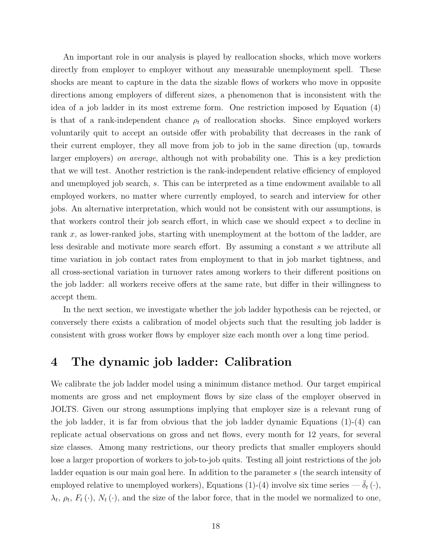An important role in our analysis is played by reallocation shocks, which move workers directly from employer to employer without any measurable unemployment spell. These shocks are meant to capture in the data the sizable flows of workers who move in opposite directions among employers of different sizes, a phenomenon that is inconsistent with the idea of a job ladder in its most extreme form. One restriction imposed by Equation (4) is that of a rank-independent chance  $\rho_t$  of reallocation shocks. Since employed workers voluntarily quit to accept an outside offer with probability that decreases in the rank of their current employer, they all move from job to job in the same direction (up, towards larger employers) on average, although not with probability one. This is a key prediction that we will test. Another restriction is the rank-independent relative efficiency of employed and unemployed job search, s. This can be interpreted as a time endowment available to all employed workers, no matter where currently employed, to search and interview for other jobs. An alternative interpretation, which would not be consistent with our assumptions, is that workers control their job search effort, in which case we should expect s to decline in rank x, as lower-ranked jobs, starting with unemployment at the bottom of the ladder, are less desirable and motivate more search effort. By assuming a constant s we attribute all time variation in job contact rates from employment to that in job market tightness, and all cross-sectional variation in turnover rates among workers to their different positions on the job ladder: all workers receive offers at the same rate, but differ in their willingness to accept them.

In the next section, we investigate whether the job ladder hypothesis can be rejected, or conversely there exists a calibration of model objects such that the resulting job ladder is consistent with gross worker flows by employer size each month over a long time period.

### 4 The dynamic job ladder: Calibration

We calibrate the job ladder model using a minimum distance method. Our target empirical moments are gross and net employment flows by size class of the employer observed in JOLTS. Given our strong assumptions implying that employer size is a relevant rung of the job ladder, it is far from obvious that the job ladder dynamic Equations  $(1)-(4)$  can replicate actual observations on gross and net flows, every month for 12 years, for several size classes. Among many restrictions, our theory predicts that smaller employers should lose a larger proportion of workers to job-to-job quits. Testing all joint restrictions of the job ladder equation is our main goal here. In addition to the parameter s (the search intensity of employed relative to unemployed workers), Equations (1)-(4) involve six time series  $-\delta_t(\cdot)$ ,  $\lambda_t$ ,  $\rho_t$ ,  $F_t(\cdot)$ ,  $N_t(\cdot)$ , and the size of the labor force, that in the model we normalized to one,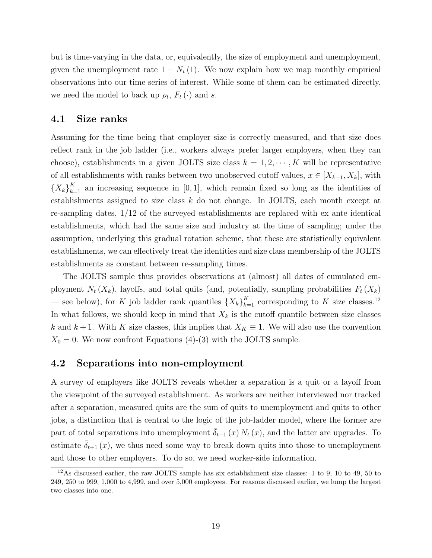but is time-varying in the data, or, equivalently, the size of employment and unemployment, given the unemployment rate  $1 - N_t(1)$ . We now explain how we map monthly empirical observations into our time series of interest. While some of them can be estimated directly, we need the model to back up  $\rho_t$ ,  $F_t(\cdot)$  and s.

#### 4.1 Size ranks

Assuming for the time being that employer size is correctly measured, and that size does reflect rank in the job ladder (i.e., workers always prefer larger employers, when they can choose), establishments in a given JOLTS size class  $k = 1, 2, \dots, K$  will be representative of all establishments with ranks between two unobserved cutoff values,  $x \in [X_{k-1}, X_k]$ , with  ${X_k}_{k=1}^K$  an increasing sequence in [0, 1], which remain fixed so long as the identities of establishments assigned to size class k do not change. In JOLTS, each month except at re-sampling dates, 1/12 of the surveyed establishments are replaced with ex ante identical establishments, which had the same size and industry at the time of sampling; under the assumption, underlying this gradual rotation scheme, that these are statistically equivalent establishments, we can effectively treat the identities and size class membership of the JOLTS establishments as constant between re-sampling times.

The JOLTS sample thus provides observations at (almost) all dates of cumulated employment  $N_t(X_k)$ , layoffs, and total quits (and, potentially, sampling probabilities  $F_t(X_k)$ — see below), for K job ladder rank quantiles  $\{X_k\}_{k=1}^K$  corresponding to K size classes.<sup>12</sup> In what follows, we should keep in mind that  $X_k$  is the cutoff quantile between size classes k and  $k+1$ . With K size classes, this implies that  $X_K \equiv 1$ . We will also use the convention  $X_0 = 0$ . We now confront Equations (4)-(3) with the JOLTS sample.

#### 4.2 Separations into non-employment

A survey of employers like JOLTS reveals whether a separation is a quit or a layoff from the viewpoint of the surveyed establishment. As workers are neither interviewed nor tracked after a separation, measured quits are the sum of quits to unemployment and quits to other jobs, a distinction that is central to the logic of the job-ladder model, where the former are part of total separations into unemployment  $\bar{\delta}_{t+1}(x) N_t(x)$ , and the latter are upgrades. To estimate  $\bar{\delta}_{t+1}(x)$ , we thus need some way to break down quits into those to unemployment and those to other employers. To do so, we need worker-side information.

 $12\text{As discussed earlier, the raw JOLTS sample has six establishment size classes: 1 to 9, 10 to 49, 50 to 10.}$ 249, 250 to 999, 1,000 to 4,999, and over 5,000 employees. For reasons discussed earlier, we lump the largest two classes into one.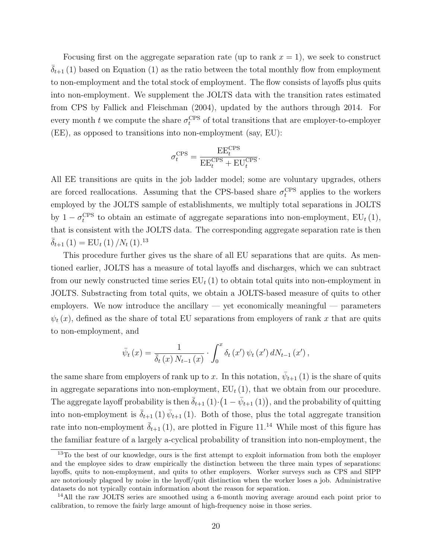Focusing first on the aggregate separation rate (up to rank  $x = 1$ ), we seek to construct  $\overline{\delta}_{t+1}$  (1) based on Equation (1) as the ratio between the total monthly flow from employment to non-employment and the total stock of employment. The flow consists of layoffs plus quits into non-employment. We supplement the JOLTS data with the transition rates estimated from CPS by Fallick and Fleischman (2004), updated by the authors through 2014. For every month t we compute the share  $\sigma_t^{\text{CPS}}$  of total transitions that are employer-to-employer (EE), as opposed to transitions into non-employment (say, EU):

$$
\sigma_t^{\mathrm{CPS}} = \frac{\mathrm{EE}_t^{\mathrm{CPS}}}{\mathrm{EE}_t^{\mathrm{CPS}}+\mathrm{EU}_t^{\mathrm{CPS}}}.
$$

All EE transitions are quits in the job ladder model; some are voluntary upgrades, others are forced reallocations. Assuming that the CPS-based share  $\sigma_t^{\text{CPS}}$  applies to the workers employed by the JOLTS sample of establishments, we multiply total separations in JOLTS by  $1 - \sigma_t^{\text{CPS}}$  to obtain an estimate of aggregate separations into non-employment,  $EU_t(1)$ , that is consistent with the JOLTS data. The corresponding aggregate separation rate is then  $\overline{\delta}_{t+1}$  (1) = EU<sub>t</sub> (1) /N<sub>t</sub> (1).<sup>13</sup>

This procedure further gives us the share of all EU separations that are quits. As mentioned earlier, JOLTS has a measure of total layoffs and discharges, which we can subtract from our newly constructed time series  $EU_t(1)$  to obtain total quits into non-employment in JOLTS. Substracting from total quits, we obtain a JOLTS-based measure of quits to other employers. We now introduce the ancillary  $-$  yet economically meaningful  $-$  parameters  $\psi_t(x)$ , defined as the share of total EU separations from employers of rank x that are quits to non-employment, and

$$
\bar{\psi}_{t}(x) = \frac{1}{\bar{\delta}_{t}(x) N_{t-1}(x)} \cdot \int_{0}^{x} \delta_{t}(x') \psi_{t}(x') dN_{t-1}(x'),
$$

the same share from employers of rank up to x. In this notation,  $\bar{\psi}_{t+1}(1)$  is the share of quits in aggregate separations into non-employment,  $EU_t(1)$ , that we obtain from our procedure. The aggregate layoff probability is then  $\bar{\delta}_{t+1}(1) \cdot (1 - \bar{\psi}_{t+1}(1)),$  and the probability of quitting into non-employment is  $\bar{\delta}_{t+1}(1) \bar{\psi}_{t+1}(1)$ . Both of those, plus the total aggregate transition rate into non-employment  $\bar{\delta}_{t+1}(1)$ , are plotted in Figure 11.<sup>14</sup> While most of this figure has the familiar feature of a largely a-cyclical probability of transition into non-employment, the

<sup>&</sup>lt;sup>13</sup>To the best of our knowledge, ours is the first attempt to exploit information from both the employer and the employee sides to draw empirically the distinction between the three main types of separations: layoffs, quits to non-employment, and quits to other employers. Worker surveys such as CPS and SIPP are notoriously plagued by noise in the layoff/quit distinction when the worker loses a job. Administrative datasets do not typically contain information about the reason for separation.

<sup>&</sup>lt;sup>14</sup>All the raw JOLTS series are smoothed using a 6-month moving average around each point prior to calibration, to remove the fairly large amount of high-frequency noise in those series.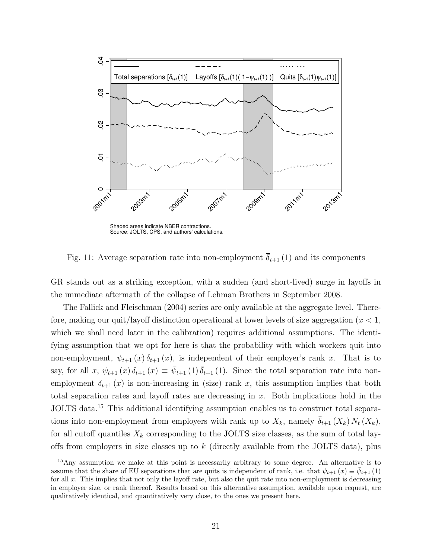

Fig. 11: Average separation rate into non-employment  $\overline{\delta}_{t+1}(1)$  and its components

GR stands out as a striking exception, with a sudden (and short-lived) surge in layoffs in the immediate aftermath of the collapse of Lehman Brothers in September 2008.

The Fallick and Fleischman (2004) series are only available at the aggregate level. Therefore, making our quit/layoff distinction operational at lower levels of size aggregation ( $x < 1$ , which we shall need later in the calibration) requires additional assumptions. The identifying assumption that we opt for here is that the probability with which workers quit into non-employment,  $\psi_{t+1}(x) \delta_{t+1}(x)$ , is independent of their employer's rank x. That is to say, for all x,  $\psi_{t+1}(x)\,\delta_{t+1}(x) \equiv \bar{\psi}_{t+1}(1)\,\bar{\delta}_{t+1}(1)$ . Since the total separation rate into nonemployment  $\delta_{t+1}(x)$  is non-increasing in (size) rank x, this assumption implies that both total separation rates and layoff rates are decreasing in x. Both implications hold in the JOLTS data.<sup>15</sup> This additional identifying assumption enables us to construct total separations into non-employment from employers with rank up to  $X_k$ , namely  $\overline{\delta}_{t+1}(X_k) N_t(X_k)$ , for all cutoff quantiles  $X_k$  corresponding to the JOLTS size classes, as the sum of total layoffs from employers in size classes up to  $k$  (directly available from the JOLTS data), plus

<sup>&</sup>lt;sup>15</sup>Any assumption we make at this point is necessarily arbitrary to some degree. An alternative is to assume that the share of EU separations that are quits is independent of rank, i.e. that  $\psi_{t+1}(x) \equiv \bar{\psi}_{t+1}(1)$ for all x. This implies that not only the layoff rate, but also the quit rate into non-employment is decreasing in employer size, or rank thereof. Results based on this alternative assumption, available upon request, are qualitatively identical, and quantitatively very close, to the ones we present here.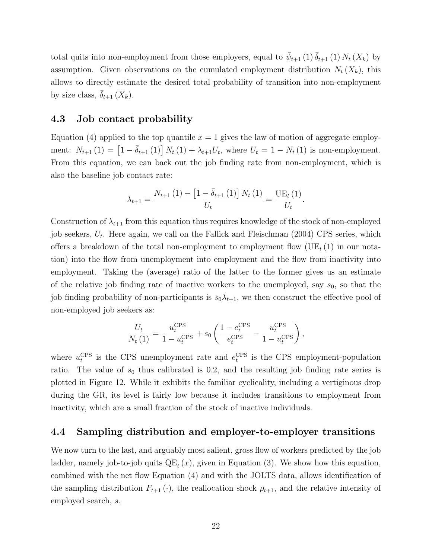total quits into non-employment from those employers, equal to  $\bar{\psi}_{t+1}(1) \bar{\delta}_{t+1}(1) N_t(X_k)$  by assumption. Given observations on the cumulated employment distribution  $N_t(X_k)$ , this allows to directly estimate the desired total probability of transition into non-employment by size class,  $\delta_{t+1}(X_k)$ .

#### 4.3 Job contact probability

Equation (4) applied to the top quantile  $x = 1$  gives the law of motion of aggregate employment:  $N_{t+1}(1) = \left[1 - \bar{\delta}_{t+1}(1)\right] N_t(1) + \lambda_{t+1} U_t$ , where  $U_t = 1 - N_t(1)$  is non-employment. From this equation, we can back out the job finding rate from non-employment, which is also the baseline job contact rate:

$$
\lambda_{t+1} = \frac{N_{t+1}(1) - \left[1 - \bar{\delta}_{t+1}(1)\right]N_t(1)}{U_t} = \frac{\text{UE}_{t}(1)}{U_t}.
$$

Construction of  $\lambda_{t+1}$  from this equation thus requires knowledge of the stock of non-employed job seekers,  $U_t$ . Here again, we call on the Fallick and Fleischman  $(2004)$  CPS series, which offers a breakdown of the total non-employment to employment flow  $(UE_{t} (1)$  in our notation) into the flow from unemployment into employment and the flow from inactivity into employment. Taking the (average) ratio of the latter to the former gives us an estimate of the relative job finding rate of inactive workers to the unemployed, say  $s_0$ , so that the job finding probability of non-participants is  $s_0\lambda_{t+1}$ , we then construct the effective pool of non-employed job seekers as:

$$
\frac{U_t}{N_t(1)} = \frac{u_t^{\text{CPS}}}{1 - u_t^{\text{CPS}}} + s_0 \left( \frac{1 - e_t^{\text{CPS}}}{e_t^{\text{CPS}}} - \frac{u_t^{\text{CPS}}}{1 - u_t^{\text{CPS}}} \right),\,
$$

where  $u_t^{\text{CPS}}$  is the CPS unemployment rate and  $e_t^{\text{CPS}}$  is the CPS employment-population ratio. The value of  $s_0$  thus calibrated is 0.2, and the resulting job finding rate series is plotted in Figure 12. While it exhibits the familiar cyclicality, including a vertiginous drop during the GR, its level is fairly low because it includes transitions to employment from inactivity, which are a small fraction of the stock of inactive individuals.

#### 4.4 Sampling distribution and employer-to-employer transitions

We now turn to the last, and arguably most salient, gross flow of workers predicted by the job ladder, namely job-to-job quits  $QE_t(x)$ , given in Equation (3). We show how this equation, combined with the net flow Equation (4) and with the JOLTS data, allows identification of the sampling distribution  $F_{t+1}(\cdot)$ , the reallocation shock  $\rho_{t+1}$ , and the relative intensity of employed search, s.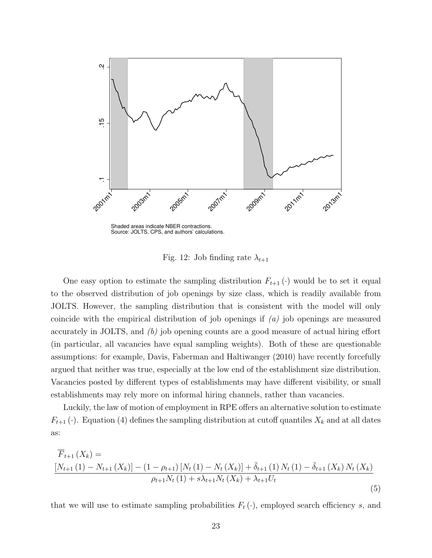

Shaded areas indicate NBER contractions. Source: JOLTS, CPS, and authors' calculations.

Fig. 12: Job finding rate  $\lambda_{t+1}$ 

One easy option to estimate the sampling distribution  $F_{t+1}(\cdot)$  would be to set it equal to the observed distribution of job openings by size class, which is readily available from JOLTS. However, the sampling distribution that is consistent with the model will only coincide with the empirical distribution of job openings if  $(a)$  job openings are measured accurately in JOLTS, and  $(b)$  job opening counts are a good measure of actual hiring effort (in particular, all vacancies have equal sampling weights). Both of these are questionable assumptions: for example, Davis, Faberman and Haltiwanger (2010) have recently forcefully argued that neither was true, especially at the low end of the establishment size distribution. Vacancies posted by different types of establishments may have different visibility, or small establishments may rely more on informal hiring channels, rather than vacancies.

Luckily, the law of motion of employment in RPE offers an alternative solution to estimate  $F_{t+1}$  ( $\cdot$ ). Equation (4) defines the sampling distribution at cutoff quantiles  $X_k$  and at all dates as:

$$
\overline{F}_{t+1}(X_k) = \frac{\left[N_{t+1}(1) - N_{t+1}(X_k)\right] - (1 - \rho_{t+1})\left[N_t(1) - N_t(X_k)\right] + \bar{\delta}_{t+1}(1)N_t(1) - \bar{\delta}_{t+1}(X_k)N_t(X_k)}{\rho_{t+1}N_t(1) + s\lambda_{t+1}N_t(X_k) + \lambda_{t+1}U_t}
$$
\n(5)

that we will use to estimate sampling probabilities  $F_t(\cdot)$ , employed search efficiency s, and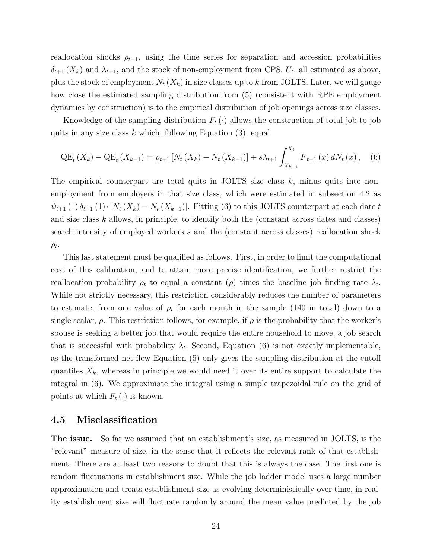reallocation shocks  $\rho_{t+1}$ , using the time series for separation and accession probabilities  $\bar{\delta}_{t+1}(X_k)$  and  $\lambda_{t+1}$ , and the stock of non-employment from CPS,  $U_t$ , all estimated as above, plus the stock of employment  $N_t$   $(X_k)$  in size classes up to k from JOLTS. Later, we will gauge how close the estimated sampling distribution from (5) (consistent with RPE employment dynamics by construction) is to the empirical distribution of job openings across size classes.

Knowledge of the sampling distribution  $F_t(\cdot)$  allows the construction of total job-to-job quits in any size class  $k$  which, following Equation  $(3)$ , equal

$$
QE_t(X_k) - QE_t(X_{k-1}) = \rho_{t+1}[N_t(X_k) - N_t(X_{k-1})] + s\lambda_{t+1} \int_{X_{k-1}}^{X_k} \overline{F}_{t+1}(x) dN_t(x), \quad (6)
$$

The empirical counterpart are total quits in JOLTS size class  $k$ , minus quits into nonemployment from employers in that size class, which were estimated in subsection 4.2 as  $\bar{\psi}_{t+1}(1) \, \bar{\delta}_{t+1}(1) \cdot [N_t(X_k) - N_t(X_{k-1})].$  Fitting (6) to this JOLTS counterpart at each date t and size class  $k$  allows, in principle, to identify both the (constant across dates and classes) search intensity of employed workers s and the (constant across classes) reallocation shock  $\rho_t$ .

This last statement must be qualified as follows. First, in order to limit the computational cost of this calibration, and to attain more precise identification, we further restrict the reallocation probability  $\rho_t$  to equal a constant ( $\rho$ ) times the baseline job finding rate  $\lambda_t$ . While not strictly necessary, this restriction considerably reduces the number of parameters to estimate, from one value of  $\rho_t$  for each month in the sample (140 in total) down to a single scalar,  $\rho$ . This restriction follows, for example, if  $\rho$  is the probability that the worker's spouse is seeking a better job that would require the entire household to move, a job search that is successful with probability  $\lambda_t$ . Second, Equation (6) is not exactly implementable, as the transformed net flow Equation (5) only gives the sampling distribution at the cutoff quantiles  $X_k$ , whereas in principle we would need it over its entire support to calculate the integral in (6). We approximate the integral using a simple trapezoidal rule on the grid of points at which  $F_t(\cdot)$  is known.

#### 4.5 Misclassification

The issue. So far we assumed that an establishment's size, as measured in JOLTS, is the "relevant" measure of size, in the sense that it reflects the relevant rank of that establishment. There are at least two reasons to doubt that this is always the case. The first one is random fluctuations in establishment size. While the job ladder model uses a large number approximation and treats establishment size as evolving deterministically over time, in reality establishment size will fluctuate randomly around the mean value predicted by the job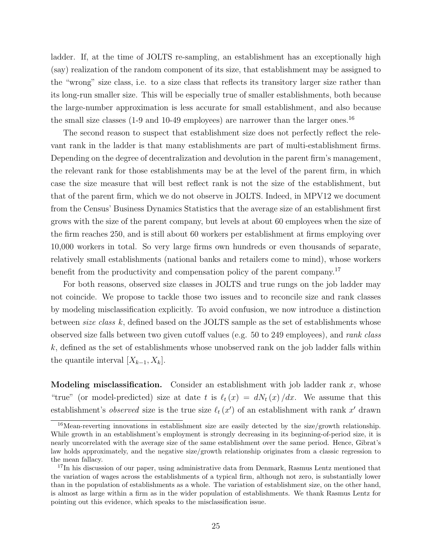ladder. If, at the time of JOLTS re-sampling, an establishment has an exceptionally high (say) realization of the random component of its size, that establishment may be assigned to the "wrong" size class, i.e. to a size class that reflects its transitory larger size rather than its long-run smaller size. This will be especially true of smaller establishments, both because the large-number approximation is less accurate for small establishment, and also because the small size classes  $(1-9)$  and  $(1-49)$  employees) are narrower than the larger ones.<sup>16</sup>

The second reason to suspect that establishment size does not perfectly reflect the relevant rank in the ladder is that many establishments are part of multi-establishment firms. Depending on the degree of decentralization and devolution in the parent firm's management, the relevant rank for those establishments may be at the level of the parent firm, in which case the size measure that will best reflect rank is not the size of the establishment, but that of the parent firm, which we do not observe in JOLTS. Indeed, in MPV12 we document from the Census' Business Dynamics Statistics that the average size of an establishment first grows with the size of the parent company, but levels at about 60 employees when the size of the firm reaches 250, and is still about 60 workers per establishment at firms employing over 10,000 workers in total. So very large firms own hundreds or even thousands of separate, relatively small establishments (national banks and retailers come to mind), whose workers benefit from the productivity and compensation policy of the parent company.<sup>17</sup>

For both reasons, observed size classes in JOLTS and true rungs on the job ladder may not coincide. We propose to tackle those two issues and to reconcile size and rank classes by modeling misclassification explicitly. To avoid confusion, we now introduce a distinction between size class  $k$ , defined based on the JOLTS sample as the set of establishments whose observed size falls between two given cutoff values (e.g. 50 to 249 employees), and rank class k, defined as the set of establishments whose unobserved rank on the job ladder falls within the quantile interval  $[X_{k-1}, X_k]$ .

**Modeling misclassification.** Consider an establishment with job ladder rank  $x$ , whose "true" (or model-predicted) size at date t is  $\ell_t (x) = dN_t (x) /dx$ . We assume that this establishment's *observed* size is the true size  $\ell_t (x')$  of an establishment with rank  $x'$  drawn

 $16$ Mean-reverting innovations in establishment size are easily detected by the size/growth relationship. While growth in an establishment's employment is strongly decreasing in its beginning-of-period size, it is nearly uncorrelated with the average size of the same establishment over the same period. Hence, Gibrat's law holds approximately, and the negative size/growth relationship originates from a classic regression to the mean fallacy.

<sup>&</sup>lt;sup>17</sup>In his discussion of our paper, using administrative data from Denmark, Rasmus Lentz mentioned that the variation of wages across the establishments of a typical firm, although not zero, is substantially lower than in the population of establishments as a whole. The variation of establishment size, on the other hand, is almost as large within a firm as in the wider population of establishments. We thank Rasmus Lentz for pointing out this evidence, which speaks to the misclassification issue.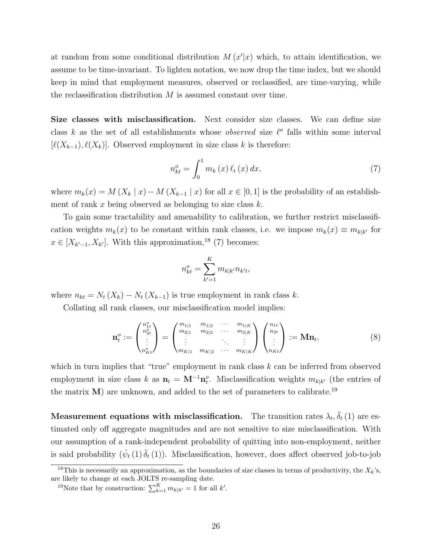at random from some conditional distribution  $M(x'|x)$  which, to attain identification, we assume to be time-invariant. To lighten notation, we now drop the time index, but we should keep in mind that employment measures, observed or reclassified, are time-varying, while the reclassification distribution  $M$  is assumed constant over time.

Size classes with misclassification. Next consider size classes. We can define size class k as the set of all establishments whose *observed* size  $\ell^{\circ}$  falls within some interval  $[\ell(X_{k-1}), \ell(X_k)]$ . Observed employment in size class k is therefore:

$$
n_{kt}^o = \int_0^1 m_k(x) \,\ell_t(x) \, dx,\tag{7}
$$

where  $m_k(x) = M(X_k | x) - M(X_{k-1} | x)$  for all  $x \in [0,1]$  is the probability of an establishment of rank x being observed as belonging to size class  $k$ .

To gain some tractability and amenability to calibration, we further restrict misclassification weights  $m_k(x)$  to be constant within rank classes, i.e. we impose  $m_k(x) \equiv m_{k|k'}$  for  $x \in [X_{k-1}, X_{k'}].$  With this approximation,<sup>18</sup> (7) becomes:

$$
n_{kt}^o = \sum_{k'=1}^K m_{k|k'} n_{k't},
$$

where  $n_{kt} = N_t (X_k) - N_t (X_{k-1})$  is true employment in rank class k.

n

Collating all rank classes, our misclassification model implies:

$$
\mathbf{n}_{t}^{o} := \begin{pmatrix} n_{1t}^{o} \\ n_{2t}^{o} \\ \vdots \\ n_{Kt}^{o} \end{pmatrix} = \begin{pmatrix} m_{1|1} & m_{1|2} & \cdots & m_{1|K} \\ m_{2|1} & m_{2|2} & \cdots & m_{2|K} \\ \vdots & \vdots & \ddots & \vdots \\ m_{K|1} & m_{K|2} & \cdots & m_{K|K} \end{pmatrix} \begin{pmatrix} n_{1t} \\ n_{2t} \\ \vdots \\ n_{Kt} \end{pmatrix} := \mathbf{M} \mathbf{n}_{t}, \qquad (8)
$$

which in turn implies that "true" employment in rank class  $k$  can be inferred from observed employment in size class k as  $\mathbf{n}_t = \mathbf{M}^{-1} \mathbf{n}_t^o$ . Misclassification weights  $m_{k|k'}$  (the entries of the matrix  $M$ ) are unknown, and added to the set of parameters to calibrate.<sup>19</sup>

Measurement equations with misclassification. The transition rates  $\lambda_t$ ,  $\bar{\delta}_t$  (1) are estimated only off aggregate magnitudes and are not sensitive to size misclassification. With our assumption of a rank-independent probability of quitting into non-employment, neither is said probability  $(\bar{\psi}_t(1) \bar{\delta}_t(1))$ . Misclassification, however, does affect observed job-to-job

<sup>&</sup>lt;sup>18</sup>This is necessarily an approximation, as the boundaries of size classes in terms of productivity, the  $X_k$ 's, are likely to change at each JOLTS re-sampling date.

<sup>&</sup>lt;sup>19</sup>Note that by construction:  $\sum_{k=1}^{K} m_{k|k'} = 1$  for all k'.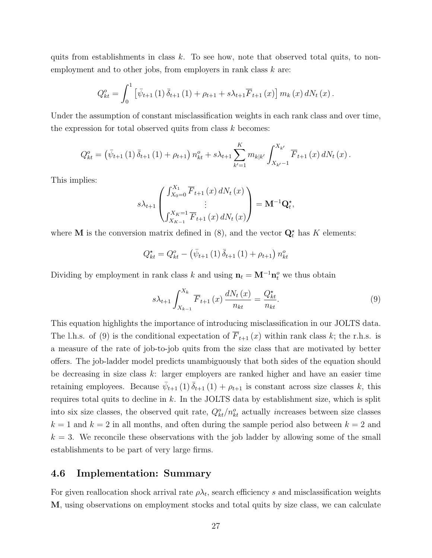quits from establishments in class  $k$ . To see how, note that observed total quits, to nonemployment and to other jobs, from employers in rank class  $k$  are:

$$
Q_{kt}^{o} = \int_{0}^{1} \left[ \bar{\psi}_{t+1} (1) \, \bar{\delta}_{t+1} (1) + \rho_{t+1} + s \lambda_{t+1} \overline{F}_{t+1} (x) \right] m_{k} (x) \, dN_{t} (x) \, .
$$

Under the assumption of constant misclassification weights in each rank class and over time, the expression for total observed quits from class  $k$  becomes:

$$
Q_{kt}^{o} = (\bar{\psi}_{t+1}(1) \,\bar{\delta}_{t+1}(1) + \rho_{t+1}) \, n_{kt}^{o} + s\lambda_{t+1} \sum_{k'=1}^{K} m_{k|k'} \int_{X_{k'}-1}^{X_{k'}} \overline{F}_{t+1}(x) \, dN_t(x) \, .
$$

This implies:

$$
s\lambda_{t+1} \begin{pmatrix} \int_{X_0=0}^{X_1} \overline{F}_{t+1}(x) dN_t(x) \\ \vdots \\ \int_{X_{K-1}}^{X_K=1} \overline{F}_{t+1}(x) dN_t(x) \end{pmatrix} = \mathbf{M}^{-1} \mathbf{Q}_t^*,
$$

where **M** is the conversion matrix defined in  $(8)$ , and the vector  $\mathbf{Q}_t^*$  has K elements:

$$
Q_{kt}^{\star} = Q_{kt}^{o} - (\bar{\psi}_{t+1} (1) \,\bar{\delta}_{t+1} (1) + \rho_{t+1}) n_{kt}^{o}
$$

Dividing by employment in rank class k and using  $\mathbf{n}_t = \mathbf{M}^{-1} \mathbf{n}_t^o$  we thus obtain

$$
s\lambda_{t+1} \int_{X_{k-1}}^{X_k} \overline{F}_{t+1}(x) \frac{dN_t(x)}{n_{kt}} = \frac{Q_{kt}^{\star}}{n_{kt}}.
$$
\n
$$
(9)
$$

This equation highlights the importance of introducing misclassification in our JOLTS data. The l.h.s. of (9) is the conditional expectation of  $\overline{F}_{t+1}(x)$  within rank class k; the r.h.s. is a measure of the rate of job-to-job quits from the size class that are motivated by better offers. The job-ladder model predicts unambiguously that both sides of the equation should be decreasing in size class  $k$ : larger employers are ranked higher and have an easier time retaining employees. Because  $\bar{\psi}_{t+1}(1) \bar{\delta}_{t+1}(1) + \rho_{t+1}$  is constant across size classes k, this requires total quits to decline in  $k$ . In the JOLTS data by establishment size, which is split into six size classes, the observed quit rate,  $Q_{kt}^o/n_{kt}^o$  actually *increases* between size classes  $k = 1$  and  $k = 2$  in all months, and often during the sample period also between  $k = 2$  and  $k = 3$ . We reconcile these observations with the job ladder by allowing some of the small establishments to be part of very large firms.

#### 4.6 Implementation: Summary

For given reallocation shock arrival rate  $\rho \lambda_t$ , search efficiency s and misclassification weights M, using observations on employment stocks and total quits by size class, we can calculate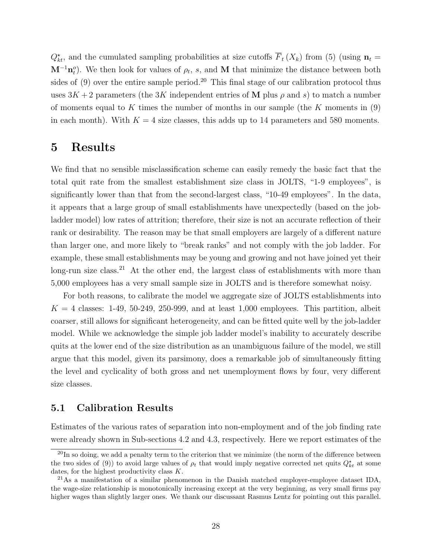$Q_{kt}^{\star}$ , and the cumulated sampling probabilities at size cutoffs  $\overline{F}_t(X_k)$  from (5) (using  $n_t =$  $\mathbf{M}^{-1}\mathbf{n}_t^o$ ). We then look for values of  $\rho_t$ , s, and M that minimize the distance between both sides of  $(9)$  over the entire sample period.<sup>20</sup> This final stage of our calibration protocol thus uses  $3K+2$  parameters (the 3K independent entries of M plus  $\rho$  and s) to match a number of moments equal to K times the number of months in our sample (the K moments in  $(9)$ ) in each month). With  $K = 4$  size classes, this adds up to 14 parameters and 580 moments.

### 5 Results

We find that no sensible misclassification scheme can easily remedy the basic fact that the total quit rate from the smallest establishment size class in JOLTS, "1-9 employees", is significantly lower than that from the second-largest class, "10-49 employees". In the data, it appears that a large group of small establishments have unexpectedly (based on the jobladder model) low rates of attrition; therefore, their size is not an accurate reflection of their rank or desirability. The reason may be that small employers are largely of a different nature than larger one, and more likely to "break ranks" and not comply with the job ladder. For example, these small establishments may be young and growing and not have joined yet their long-run size class.<sup>21</sup> At the other end, the largest class of establishments with more than 5,000 employees has a very small sample size in JOLTS and is therefore somewhat noisy.

For both reasons, to calibrate the model we aggregate size of JOLTS establishments into  $K = 4$  classes: 1-49, 50-249, 250-999, and at least 1,000 employees. This partition, albeit coarser, still allows for significant heterogeneity, and can be fitted quite well by the job-ladder model. While we acknowledge the simple job ladder model's inability to accurately describe quits at the lower end of the size distribution as an unambiguous failure of the model, we still argue that this model, given its parsimony, does a remarkable job of simultaneously fitting the level and cyclicality of both gross and net unemployment flows by four, very different size classes.

#### 5.1 Calibration Results

Estimates of the various rates of separation into non-employment and of the job finding rate were already shown in Sub-sections 4.2 and 4.3, respectively. Here we report estimates of the

 $^{20}$ In so doing, we add a penalty term to the criterion that we minimize (the norm of the difference between the two sides of (9)) to avoid large values of  $\rho_t$  that would imply negative corrected net quits  $Q_{kt}^*$  at some dates, for the highest productivity class K.

<sup>&</sup>lt;sup>21</sup>As a manifestation of a similar phenomenon in the Danish matched employer-employee dataset IDA, the wage-size relationship is monotonically increasing except at the very beginning, as very small firms pay higher wages than slightly larger ones. We thank our discussant Rasmus Lentz for pointing out this parallel.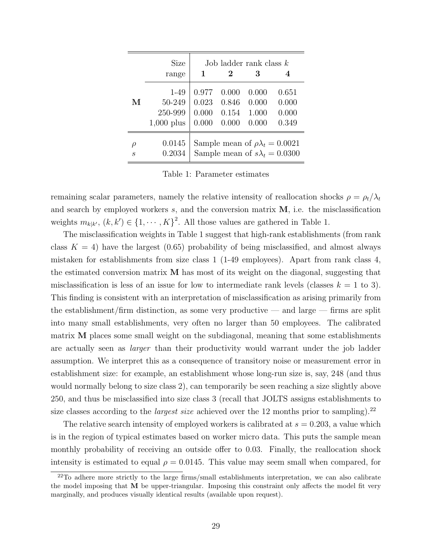|        | Size<br>range | Job ladder rank class $k$<br>1<br>3<br>$\bf{2}$ |       |       |       |  |  |  |
|--------|---------------|-------------------------------------------------|-------|-------|-------|--|--|--|
| М      | 1-49          | 0.977                                           | 0.000 | 0.000 | 0.651 |  |  |  |
|        | 50-249        | 0.023                                           | 0.846 | 0.000 | 0.000 |  |  |  |
|        | 250-999       | 0.000                                           | 0.154 | 1.000 | 0.000 |  |  |  |
|        | $1,000$ plus  | 0.000                                           | 0.000 | 0.000 | 0.349 |  |  |  |
| $\rho$ | 0.0145        | Sample mean of $\rho \lambda_t = 0.0021$        |       |       |       |  |  |  |
| S      | 0.2034        | Sample mean of $s\lambda_t = 0.0300$            |       |       |       |  |  |  |

Table 1: Parameter estimates

remaining scalar parameters, namely the relative intensity of reallocation shocks  $\rho = \rho_t / \lambda_t$ and search by employed workers  $s$ , and the conversion matrix  $M$ , i.e. the misclassification weights  $m_{k|k'}$ ,  $(k, k') \in \{1, \cdots, K\}^2$ . All those values are gathered in Table 1.

The misclassification weights in Table 1 suggest that high-rank establishments (from rank class  $K = 4$ ) have the largest (0.65) probability of being misclassified, and almost always mistaken for establishments from size class 1 (1-49 employees). Apart from rank class 4, the estimated conversion matrix  $M$  has most of its weight on the diagonal, suggesting that misclassification is less of an issue for low to intermediate rank levels (classes  $k = 1$  to 3). This finding is consistent with an interpretation of misclassification as arising primarily from the establishment/firm distinction, as some very productive — and large — firms are split into many small establishments, very often no larger than 50 employees. The calibrated matrix M places some small weight on the subdiagonal, meaning that some establishments are actually seen as larger than their productivity would warrant under the job ladder assumption. We interpret this as a consequence of transitory noise or measurement error in establishment size: for example, an establishment whose long-run size is, say, 248 (and thus would normally belong to size class 2), can temporarily be seen reaching a size slightly above 250, and thus be misclassified into size class 3 (recall that JOLTS assigns establishments to size classes according to the *largest size* achieved over the 12 months prior to sampling).<sup>22</sup>

The relative search intensity of employed workers is calibrated at  $s = 0.203$ , a value which is in the region of typical estimates based on worker micro data. This puts the sample mean monthly probability of receiving an outside offer to 0.03. Finally, the reallocation shock intensity is estimated to equal  $\rho = 0.0145$ . This value may seem small when compared, for

 $22$ To adhere more strictly to the large firms/small establishments interpretation, we can also calibrate the model imposing that M be upper-triangular. Imposing this constraint only affects the model fit very marginally, and produces visually identical results (available upon request).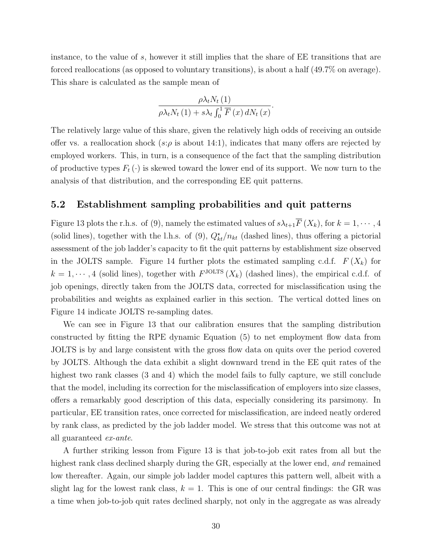instance, to the value of s, however it still implies that the share of EE transitions that are forced reallocations (as opposed to voluntary transitions), is about a half (49.7% on average). This share is calculated as the sample mean of

$$
\frac{\rho \lambda_t N_t(1)}{\rho \lambda_t N_t(1) + s \lambda_t \int_0^1 \overline{F}(x) dN_t(x)}.
$$

The relatively large value of this share, given the relatively high odds of receiving an outside offer vs. a reallocation shock (s: $\rho$  is about 14:1), indicates that many offers are rejected by employed workers. This, in turn, is a consequence of the fact that the sampling distribution of productive types  $F_t(\cdot)$  is skewed toward the lower end of its support. We now turn to the analysis of that distribution, and the corresponding EE quit patterns.

#### 5.2 Establishment sampling probabilities and quit patterns

Figure 13 plots the r.h.s. of (9), namely the estimated values of  $s\lambda_{t+1}\overline{F}(X_k)$ , for  $k = 1, \dots, 4$ (solid lines), together with the l.h.s. of (9),  $Q_{kt}^{\star}/n_{kt}$  (dashed lines), thus offering a pictorial assessment of the job ladder's capacity to fit the quit patterns by establishment size observed in the JOLTS sample. Figure 14 further plots the estimated sampling c.d.f.  $F(X_k)$  for  $k = 1, \dots, 4$  (solid lines), together with  $F^{\text{JOLTS}}(X_k)$  (dashed lines), the empirical c.d.f. of job openings, directly taken from the JOLTS data, corrected for misclassification using the probabilities and weights as explained earlier in this section. The vertical dotted lines on Figure 14 indicate JOLTS re-sampling dates.

We can see in Figure 13 that our calibration ensures that the sampling distribution constructed by fitting the RPE dynamic Equation (5) to net employment flow data from JOLTS is by and large consistent with the gross flow data on quits over the period covered by JOLTS. Although the data exhibit a slight downward trend in the EE quit rates of the highest two rank classes (3 and 4) which the model fails to fully capture, we still conclude that the model, including its correction for the misclassification of employers into size classes, offers a remarkably good description of this data, especially considering its parsimony. In particular, EE transition rates, once corrected for misclassification, are indeed neatly ordered by rank class, as predicted by the job ladder model. We stress that this outcome was not at all guaranteed ex-ante.

A further striking lesson from Figure 13 is that job-to-job exit rates from all but the highest rank class declined sharply during the GR, especially at the lower end, and remained low thereafter. Again, our simple job ladder model captures this pattern well, albeit with a slight lag for the lowest rank class,  $k = 1$ . This is one of our central findings: the GR was a time when job-to-job quit rates declined sharply, not only in the aggregate as was already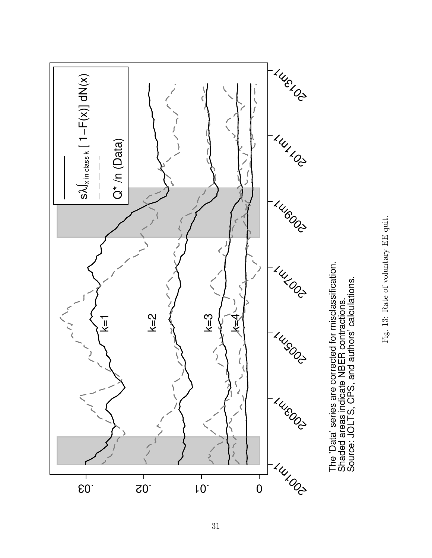

The 'Data' series are corrected for misclassification.<br>Shaded areas indicate NBER contractions.<br>Source: JOLTS, CPS, and authors' calculations. The 'Data' series are corrected for misclassification. Source: JOLTS, CPS, and authors' calculations. Shaded areas indicate NBER contractions.

Fig. 13: Rate of voluntary EE quit. Fig. 13: Rate of voluntary EE quit.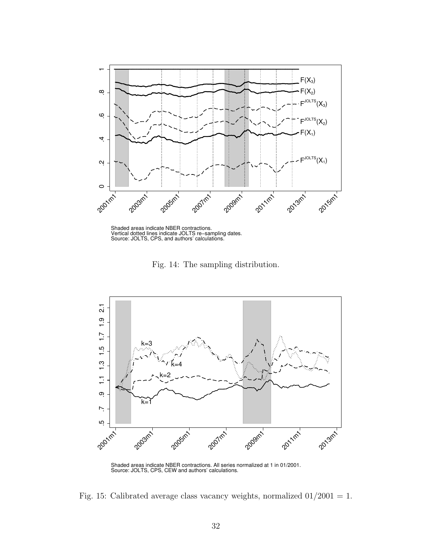

Shaded areas indicate NBER contractions. Vertical dotted lines indicate JOLTS re−sampling dates. Source: JOLTS, CPS, and authors' calculations.

Fig. 14: The sampling distribution.



Fig. 15: Calibrated average class vacancy weights, normalized  $01/2001 = 1$ .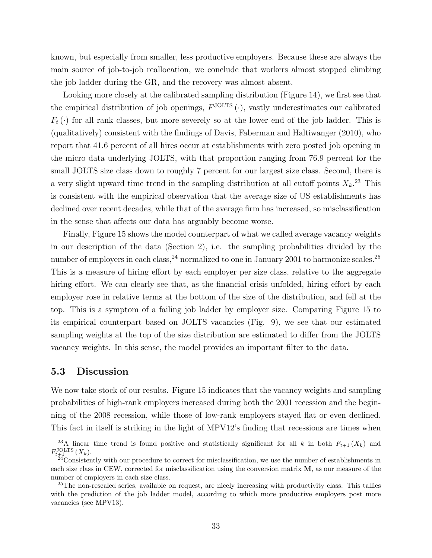known, but especially from smaller, less productive employers. Because these are always the main source of job-to-job reallocation, we conclude that workers almost stopped climbing the job ladder during the GR, and the recovery was almost absent.

Looking more closely at the calibrated sampling distribution (Figure 14), we first see that the empirical distribution of job openings,  $F^{\text{JOLTS}}(\cdot)$ , vastly underestimates our calibrated  $F_t(\cdot)$  for all rank classes, but more severely so at the lower end of the job ladder. This is (qualitatively) consistent with the findings of Davis, Faberman and Haltiwanger (2010), who report that 41.6 percent of all hires occur at establishments with zero posted job opening in the micro data underlying JOLTS, with that proportion ranging from 76.9 percent for the small JOLTS size class down to roughly 7 percent for our largest size class. Second, there is a very slight upward time trend in the sampling distribution at all cutoff points  $X_k$ <sup>23</sup> This is consistent with the empirical observation that the average size of US establishments has declined over recent decades, while that of the average firm has increased, so misclassification in the sense that affects our data has arguably become worse.

Finally, Figure 15 shows the model counterpart of what we called average vacancy weights in our description of the data (Section 2), i.e. the sampling probabilities divided by the number of employers in each class,  $24$  normalized to one in January 2001 to harmonize scales.  $25$ This is a measure of hiring effort by each employer per size class, relative to the aggregate hiring effort. We can clearly see that, as the financial crisis unfolded, hiring effort by each employer rose in relative terms at the bottom of the size of the distribution, and fell at the top. This is a symptom of a failing job ladder by employer size. Comparing Figure 15 to its empirical counterpart based on JOLTS vacancies (Fig. 9), we see that our estimated sampling weights at the top of the size distribution are estimated to differ from the JOLTS vacancy weights. In this sense, the model provides an important filter to the data.

#### 5.3 Discussion

We now take stock of our results. Figure 15 indicates that the vacancy weights and sampling probabilities of high-rank employers increased during both the 2001 recession and the beginning of the 2008 recession, while those of low-rank employers stayed flat or even declined. This fact in itself is striking in the light of MPV12's finding that recessions are times when

<sup>&</sup>lt;sup>23</sup>A linear time trend is found positive and statistically significant for all k in both  $F_{t+1}(X_k)$  and  $F_{t+1}^{\text{JOLTS}}(X_k)$ .

 $^{24}$ Consistently with our procedure to correct for misclassification, we use the number of establishments in each size class in CEW, corrected for misclassification using the conversion matrix M, as our measure of the number of employers in each size class.

<sup>&</sup>lt;sup>25</sup>The non-rescaled series, available on request, are nicely increasing with productivity class. This tallies with the prediction of the job ladder model, according to which more productive employers post more vacancies (see MPV13).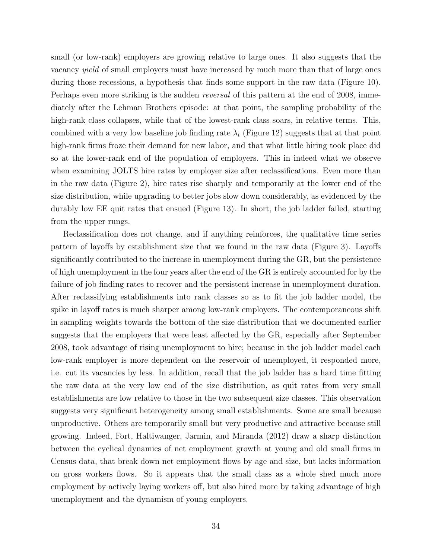small (or low-rank) employers are growing relative to large ones. It also suggests that the vacancy yield of small employers must have increased by much more than that of large ones during those recessions, a hypothesis that finds some support in the raw data (Figure 10). Perhaps even more striking is the sudden reversal of this pattern at the end of 2008, immediately after the Lehman Brothers episode: at that point, the sampling probability of the high-rank class collapses, while that of the lowest-rank class soars, in relative terms. This, combined with a very low baseline job finding rate  $\lambda_t$  (Figure 12) suggests that at that point high-rank firms froze their demand for new labor, and that what little hiring took place did so at the lower-rank end of the population of employers. This in indeed what we observe when examining JOLTS hire rates by employer size after reclassifications. Even more than in the raw data (Figure 2), hire rates rise sharply and temporarily at the lower end of the size distribution, while upgrading to better jobs slow down considerably, as evidenced by the durably low EE quit rates that ensued (Figure 13). In short, the job ladder failed, starting from the upper rungs.

Reclassification does not change, and if anything reinforces, the qualitative time series pattern of layoffs by establishment size that we found in the raw data (Figure 3). Layoffs significantly contributed to the increase in unemployment during the GR, but the persistence of high unemployment in the four years after the end of the GR is entirely accounted for by the failure of job finding rates to recover and the persistent increase in unemployment duration. After reclassifying establishments into rank classes so as to fit the job ladder model, the spike in layoff rates is much sharper among low-rank employers. The contemporaneous shift in sampling weights towards the bottom of the size distribution that we documented earlier suggests that the employers that were least affected by the GR, especially after September 2008, took advantage of rising unemployment to hire; because in the job ladder model each low-rank employer is more dependent on the reservoir of unemployed, it responded more, i.e. cut its vacancies by less. In addition, recall that the job ladder has a hard time fitting the raw data at the very low end of the size distribution, as quit rates from very small establishments are low relative to those in the two subsequent size classes. This observation suggests very significant heterogeneity among small establishments. Some are small because unproductive. Others are temporarily small but very productive and attractive because still growing. Indeed, Fort, Haltiwanger, Jarmin, and Miranda (2012) draw a sharp distinction between the cyclical dynamics of net employment growth at young and old small firms in Census data, that break down net employment flows by age and size, but lacks information on gross workers flows. So it appears that the small class as a whole shed much more employment by actively laying workers off, but also hired more by taking advantage of high unemployment and the dynamism of young employers.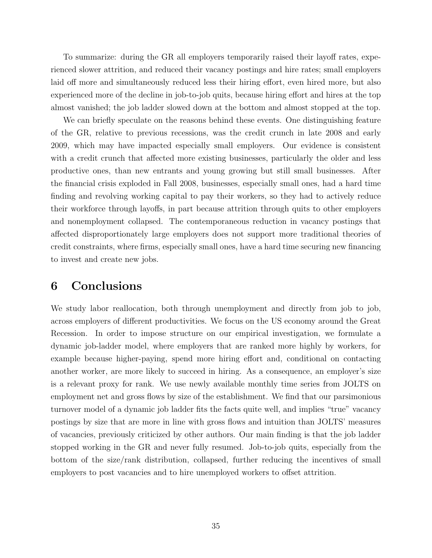To summarize: during the GR all employers temporarily raised their layoff rates, experienced slower attrition, and reduced their vacancy postings and hire rates; small employers laid off more and simultaneously reduced less their hiring effort, even hired more, but also experienced more of the decline in job-to-job quits, because hiring effort and hires at the top almost vanished; the job ladder slowed down at the bottom and almost stopped at the top.

We can briefly speculate on the reasons behind these events. One distinguishing feature of the GR, relative to previous recessions, was the credit crunch in late 2008 and early 2009, which may have impacted especially small employers. Our evidence is consistent with a credit crunch that affected more existing businesses, particularly the older and less productive ones, than new entrants and young growing but still small businesses. After the financial crisis exploded in Fall 2008, businesses, especially small ones, had a hard time finding and revolving working capital to pay their workers, so they had to actively reduce their workforce through layoffs, in part because attrition through quits to other employers and nonemployment collapsed. The contemporaneous reduction in vacancy postings that affected disproportionately large employers does not support more traditional theories of credit constraints, where firms, especially small ones, have a hard time securing new financing to invest and create new jobs.

### 6 Conclusions

We study labor reallocation, both through unemployment and directly from job to job, across employers of different productivities. We focus on the US economy around the Great Recession. In order to impose structure on our empirical investigation, we formulate a dynamic job-ladder model, where employers that are ranked more highly by workers, for example because higher-paying, spend more hiring effort and, conditional on contacting another worker, are more likely to succeed in hiring. As a consequence, an employer's size is a relevant proxy for rank. We use newly available monthly time series from JOLTS on employment net and gross flows by size of the establishment. We find that our parsimonious turnover model of a dynamic job ladder fits the facts quite well, and implies "true" vacancy postings by size that are more in line with gross flows and intuition than JOLTS' measures of vacancies, previously criticized by other authors. Our main finding is that the job ladder stopped working in the GR and never fully resumed. Job-to-job quits, especially from the bottom of the size/rank distribution, collapsed, further reducing the incentives of small employers to post vacancies and to hire unemployed workers to offset attrition.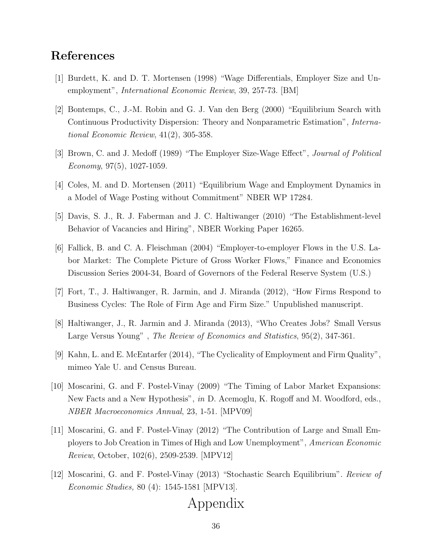### References

- [1] Burdett, K. and D. T. Mortensen (1998) "Wage Differentials, Employer Size and Unemployment", International Economic Review, 39, 257-73. [BM]
- [2] Bontemps, C., J.-M. Robin and G. J. Van den Berg (2000) "Equilibrium Search with Continuous Productivity Dispersion: Theory and Nonparametric Estimation", International Economic Review, 41(2), 305-358.
- [3] Brown, C. and J. Medoff (1989) "The Employer Size-Wage Effect", Journal of Political Economy, 97(5), 1027-1059.
- [4] Coles, M. and D. Mortensen (2011) "Equilibrium Wage and Employment Dynamics in a Model of Wage Posting without Commitment" NBER WP 17284.
- [5] Davis, S. J., R. J. Faberman and J. C. Haltiwanger (2010) "The Establishment-level Behavior of Vacancies and Hiring", NBER Working Paper 16265.
- [6] Fallick, B. and C. A. Fleischman (2004) "Employer-to-employer Flows in the U.S. Labor Market: The Complete Picture of Gross Worker Flows," Finance and Economics Discussion Series 2004-34, Board of Governors of the Federal Reserve System (U.S.)
- [7] Fort, T., J. Haltiwanger, R. Jarmin, and J. Miranda (2012), "How Firms Respond to Business Cycles: The Role of Firm Age and Firm Size." Unpublished manuscript.
- [8] Haltiwanger, J., R. Jarmin and J. Miranda (2013), "Who Creates Jobs? Small Versus Large Versus Young", The Review of Economics and Statistics, 95(2), 347-361.
- [9] Kahn, L. and E. McEntarfer (2014), "The Cyclicality of Employment and Firm Quality", mimeo Yale U. and Census Bureau.
- [10] Moscarini, G. and F. Postel-Vinay (2009) "The Timing of Labor Market Expansions: New Facts and a New Hypothesis", in D. Acemoglu, K. Rogoff and M. Woodford, eds., NBER Macroeconomics Annual, 23, 1-51. [MPV09]
- [11] Moscarini, G. and F. Postel-Vinay (2012) "The Contribution of Large and Small Employers to Job Creation in Times of High and Low Unemployment", American Economic Review, October, 102(6), 2509-2539. [MPV12]
- [12] Moscarini, G. and F. Postel-Vinay (2013) "Stochastic Search Equilibrium". Review of Economic Studies, 80 (4): 1545-1581 [MPV13].

## Appendix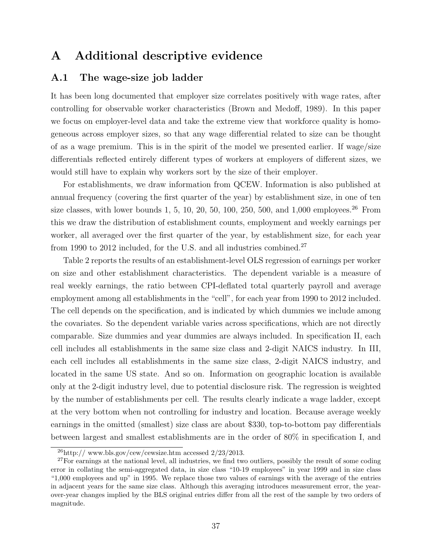### A Additional descriptive evidence

#### A.1 The wage-size job ladder

It has been long documented that employer size correlates positively with wage rates, after controlling for observable worker characteristics (Brown and Medoff, 1989). In this paper we focus on employer-level data and take the extreme view that workforce quality is homogeneous across employer sizes, so that any wage differential related to size can be thought of as a wage premium. This is in the spirit of the model we presented earlier. If wage/size differentials reflected entirely different types of workers at employers of different sizes, we would still have to explain why workers sort by the size of their employer.

For establishments, we draw information from QCEW. Information is also published at annual frequency (covering the first quarter of the year) by establishment size, in one of ten size classes, with lower bounds 1, 5, 10, 20, 50, 100, 250, 500, and 1,000 employees.<sup>26</sup> From this we draw the distribution of establishment counts, employment and weekly earnings per worker, all averaged over the first quarter of the year, by establishment size, for each year from 1990 to 2012 included, for the U.S. and all industries combined.<sup>27</sup>

Table 2 reports the results of an establishment-level OLS regression of earnings per worker on size and other establishment characteristics. The dependent variable is a measure of real weekly earnings, the ratio between CPI-deflated total quarterly payroll and average employment among all establishments in the "cell", for each year from 1990 to 2012 included. The cell depends on the specification, and is indicated by which dummies we include among the covariates. So the dependent variable varies across specifications, which are not directly comparable. Size dummies and year dummies are always included. In specification II, each cell includes all establishments in the same size class and 2-digit NAICS industry. In III, each cell includes all establishments in the same size class, 2-digit NAICS industry, and located in the same US state. And so on. Information on geographic location is available only at the 2-digit industry level, due to potential disclosure risk. The regression is weighted by the number of establishments per cell. The results clearly indicate a wage ladder, except at the very bottom when not controlling for industry and location. Because average weekly earnings in the omitted (smallest) size class are about \$330, top-to-bottom pay differentials between largest and smallest establishments are in the order of 80% in specification I, and

 $^{26}$ http:// www.bls.gov/cew/cewsize.htm accessed  $2/23/2013$ .

<sup>&</sup>lt;sup>27</sup>For earnings at the national level, all industries, we find two outliers, possibly the result of some coding error in collating the semi-aggregated data, in size class "10-19 employees" in year 1999 and in size class "1,000 employees and up" in 1995. We replace those two values of earnings with the average of the entries in adjacent years for the same size class. Although this averaging introduces measurement error, the yearover-year changes implied by the BLS original entries differ from all the rest of the sample by two orders of magnitude.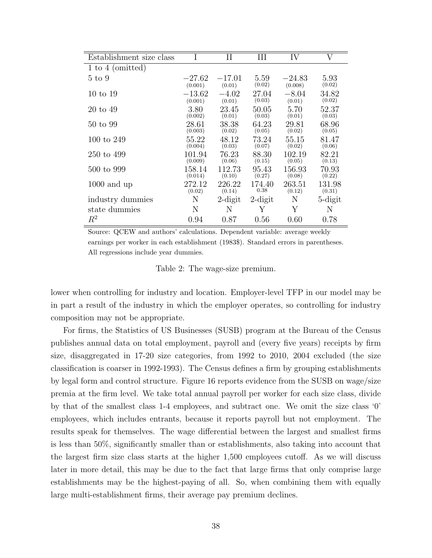| Establishment size class |          | П          | Ш          | IV       | V          |
|--------------------------|----------|------------|------------|----------|------------|
| 1 to 4 (omitted)         |          |            |            |          |            |
| 5 to 9                   | $-27.62$ | $-17.01$   | 5.59       | $-24.83$ | 5.93       |
|                          | (0.001)  | (0.01)     | (0.02)     | (0.008)  | (0.02)     |
| 10 to 19                 | $-13.62$ | $-4.02$    | 27.04      | $-8.04$  | 34.82      |
|                          | (0.001)  | (0.01)     | (0.03)     | (0.01)   | (0.02)     |
| 20 to 49                 | 3.80     | 23.45      | 50.05      | 5.70     | 52.37      |
|                          | (0.002)  | (0.01)     | (0.03)     | (0.01)   | (0.03)     |
| 50 to 99                 | 28.61    | 38.38      | 64.23      | 29.81    | 68.96      |
|                          | (0.003)  | (0.02)     | (0.05)     | (0.02)   | (0.05)     |
| 100 to 249               | 55.22    | 48.12      | 73.24      | 55.15    | 81.47      |
|                          | (0.004)  | (0.03)     | (0.07)     | (0.02)   | (0.06)     |
| 250 to 499               | 101.94   | 76.23      | 88.30      | 102.19   | 82.21      |
|                          | (0.009)  | (0.06)     | (0.15)     | (0.05)   | (0.13)     |
| 500 to 999               | 158.14   | 112.73     | 95.43      | 156.93   | 70.93      |
|                          | (0.014)  | (0.10)     | (0.27)     | (0.08)   | (0.22)     |
| $1000$ and up            | 272.12   | 226.22     | 174.40     | 263.51   | 131.98     |
|                          | (0.02)   | (0.14)     | 0.38       | (0.12)   | (0.31)     |
| industry dummies         | Ν        | $2$ -digit | $2$ -digit | Ν        | $5$ -digit |
| state dummies            | N        | N          | Y          | Y        | N          |
| $R^2$                    | 0.94     | 0.87       | 0.56       | $0.60\,$ | 0.78       |

Source: QCEW and authors' calculations. Dependent variable: average weekly earnings per worker in each establishment (1983\$). Standard errors in parentheses. All regressions include year dummies.

Table 2: The wage-size premium.

lower when controlling for industry and location. Employer-level TFP in our model may be in part a result of the industry in which the employer operates, so controlling for industry composition may not be appropriate.

For firms, the Statistics of US Businesses (SUSB) program at the Bureau of the Census publishes annual data on total employment, payroll and (every five years) receipts by firm size, disaggregated in 17-20 size categories, from 1992 to 2010, 2004 excluded (the size classification is coarser in 1992-1993). The Census defines a firm by grouping establishments by legal form and control structure. Figure 16 reports evidence from the SUSB on wage/size premia at the firm level. We take total annual payroll per worker for each size class, divide by that of the smallest class 1-4 employees, and subtract one. We omit the size class '0' employees, which includes entrants, because it reports payroll but not employment. The results speak for themselves. The wage differential between the largest and smallest firms is less than 50%, significantly smaller than or establishments, also taking into account that the largest firm size class starts at the higher 1,500 employees cutoff. As we will discuss later in more detail, this may be due to the fact that large firms that only comprise large establishments may be the highest-paying of all. So, when combining them with equally large multi-establishment firms, their average pay premium declines.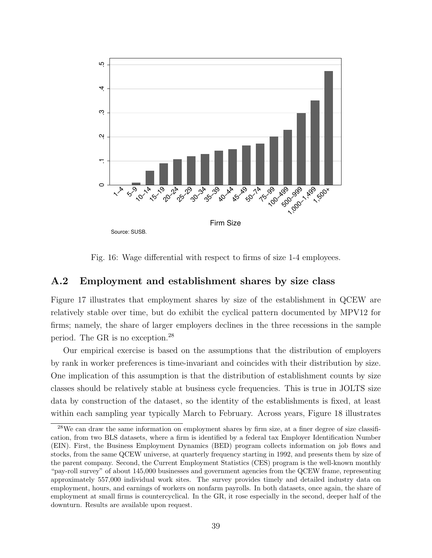

Fig. 16: Wage differential with respect to firms of size 1-4 employees.

#### A.2 Employment and establishment shares by size class

Figure 17 illustrates that employment shares by size of the establishment in QCEW are relatively stable over time, but do exhibit the cyclical pattern documented by MPV12 for firms; namely, the share of larger employers declines in the three recessions in the sample period. The GR is no exception.<sup>28</sup>

Our empirical exercise is based on the assumptions that the distribution of employers by rank in worker preferences is time-invariant and coincides with their distribution by size. One implication of this assumption is that the distribution of establishment counts by size classes should be relatively stable at business cycle frequencies. This is true in JOLTS size data by construction of the dataset, so the identity of the establishments is fixed, at least within each sampling year typically March to February. Across years, Figure 18 illustrates

<sup>&</sup>lt;sup>28</sup>We can draw the same information on employment shares by firm size, at a finer degree of size classification, from two BLS datasets, where a firm is identified by a federal tax Employer Identification Number (EIN). First, the Business Employment Dynamics (BED) program collects information on job flows and stocks, from the same QCEW universe, at quarterly frequency starting in 1992, and presents them by size of the parent company. Second, the Current Employment Statistics (CES) program is the well-known monthly "pay-roll survey" of about 145,000 businesses and government agencies from the QCEW frame, representing approximately 557,000 individual work sites. The survey provides timely and detailed industry data on employment, hours, and earnings of workers on nonfarm payrolls. In both datasets, once again, the share of employment at small firms is countercyclical. In the GR, it rose especially in the second, deeper half of the downturn. Results are available upon request.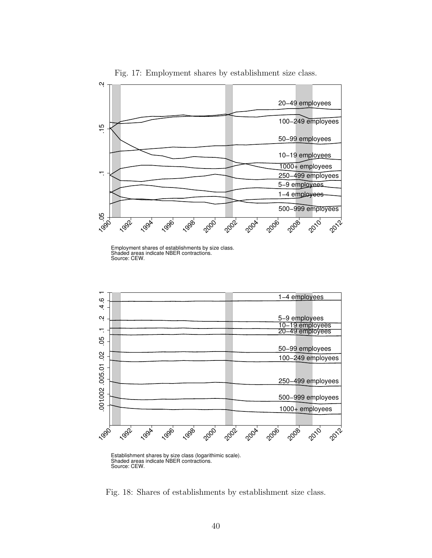

Fig. 17: Employment shares by establishment size class.

Employment shares of establishments by size class. Shaded areas indicate NBER contractions. Source: CEW.



Establishment shares by size class (logarithimic scale). Shaded areas indicate NBER contractions. Source: CEW.

Fig. 18: Shares of establishments by establishment size class.